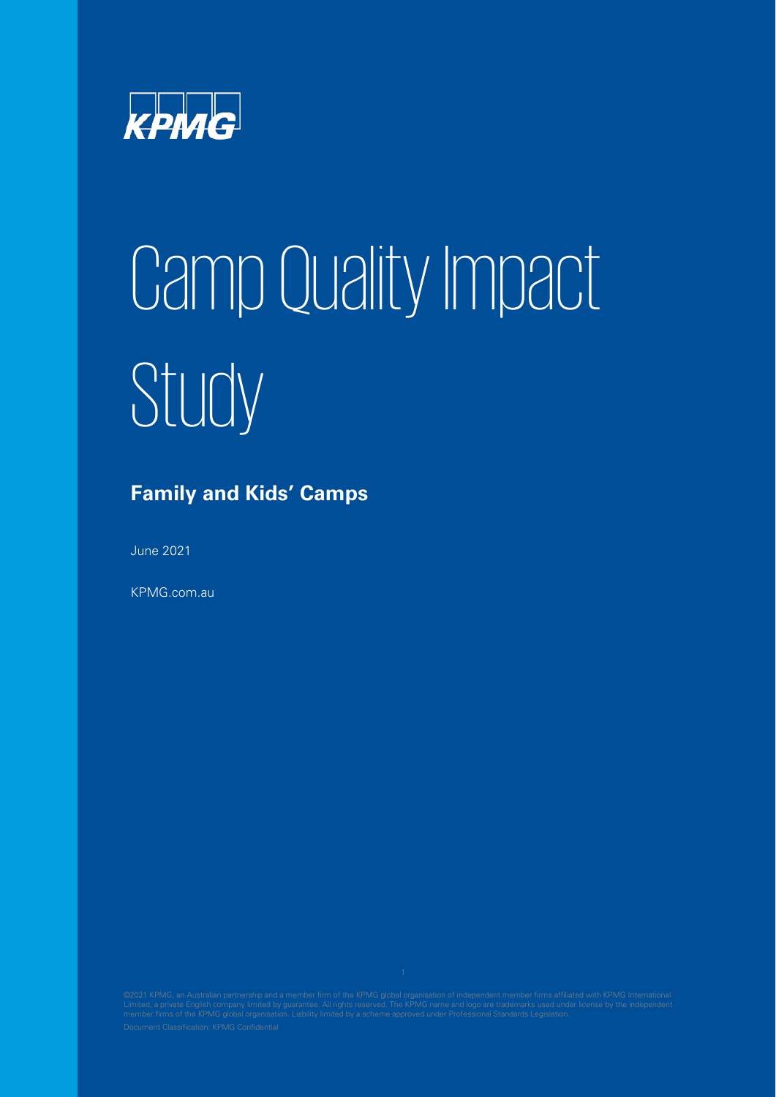

# Camp Quality Impact Study

## **Family and Kids' Camps**

June 2021

KPMG.com.au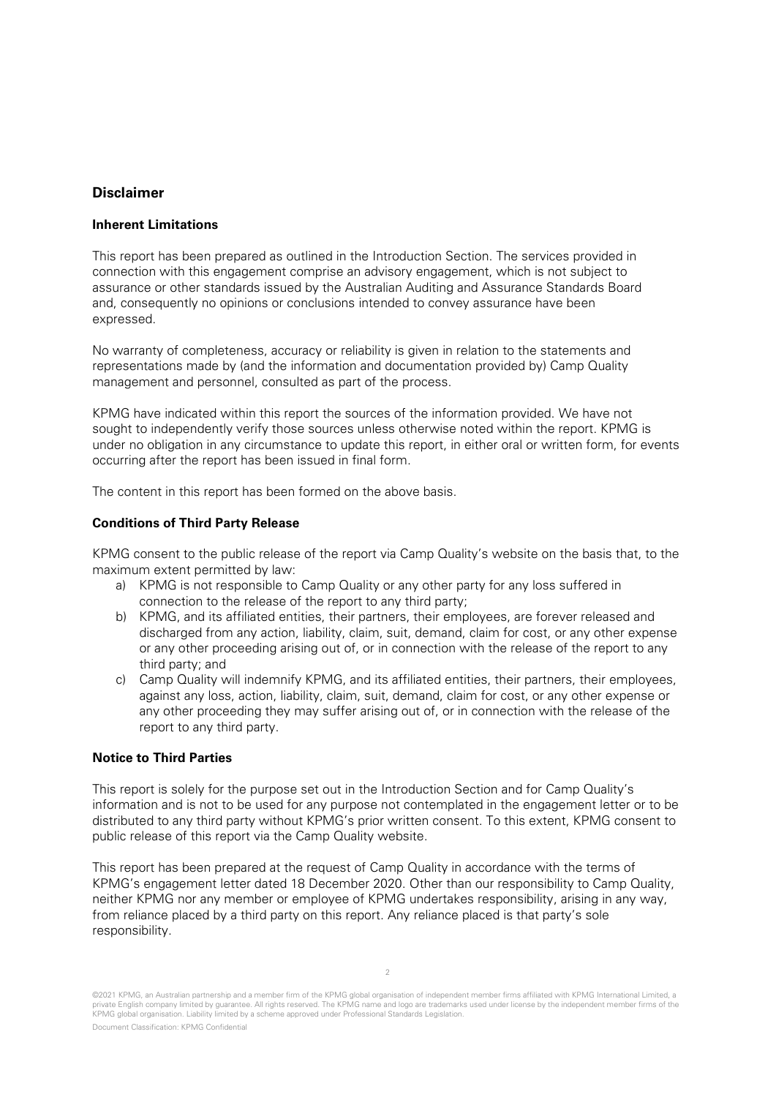## **Disclaimer**

## **Inherent Limitations**

This report has been prepared as outlined in the Introduction Section. The services provided in connection with this engagement comprise an advisory engagement, which is not subject to assurance or other standards issued by the Australian Auditing and Assurance Standards Board and, consequently no opinions or conclusions intended to convey assurance have been expressed.

No warranty of completeness, accuracy or reliability is given in relation to the statements and representations made by (and the information and documentation provided by) Camp Quality management and personnel, consulted as part of the process.

KPMG have indicated within this report the sources of the information provided. We have not sought to independently verify those sources unless otherwise noted within the report. KPMG is under no obligation in any circumstance to update this report, in either oral or written form, for events occurring after the report has been issued in final form.

The content in this report has been formed on the above basis.

### **Conditions of Third Party Release**

KPMG consent to the public release of the report via Camp Quality's website on the basis that, to the maximum extent permitted by law:

- a) KPMG is not responsible to Camp Quality or any other party for any loss suffered in connection to the release of the report to any third party;
- b) KPMG, and its affiliated entities, their partners, their employees, are forever released and discharged from any action, liability, claim, suit, demand, claim for cost, or any other expense or any other proceeding arising out of, or in connection with the release of the report to any third party; and
- c) Camp Quality will indemnify KPMG, and its affiliated entities, their partners, their employees, against any loss, action, liability, claim, suit, demand, claim for cost, or any other expense or any other proceeding they may suffer arising out of, or in connection with the release of the report to any third party.

#### **Notice to Third Parties**

This report is solely for the purpose set out in the Introduction Section and for Camp Quality's information and is not to be used for any purpose not contemplated in the engagement letter or to be distributed to any third party without KPMG's prior written consent. To this extent, KPMG consent to public release of this report via the Camp Quality website.

This report has been prepared at the request of Camp Quality in accordance with the terms of KPMG's engagement letter dated 18 December 2020. Other than our responsibility to Camp Quality, neither KPMG nor any member or employee of KPMG undertakes responsibility, arising in any way, from reliance placed by a third party on this report. Any reliance placed is that party's sole responsibility.

<sup>©2021</sup> KPMG, an Australian partnership and a member firm of the KPMG global organisation of independent member firms affiliated with KPMG International Limited, a private English company limited by guarantee. All rights reserved. The KPMG name and logo are trademarks used under license by the independent member firms of the KPMG global organisation. Liability limited by a scheme approved under Professional Standards Legislation.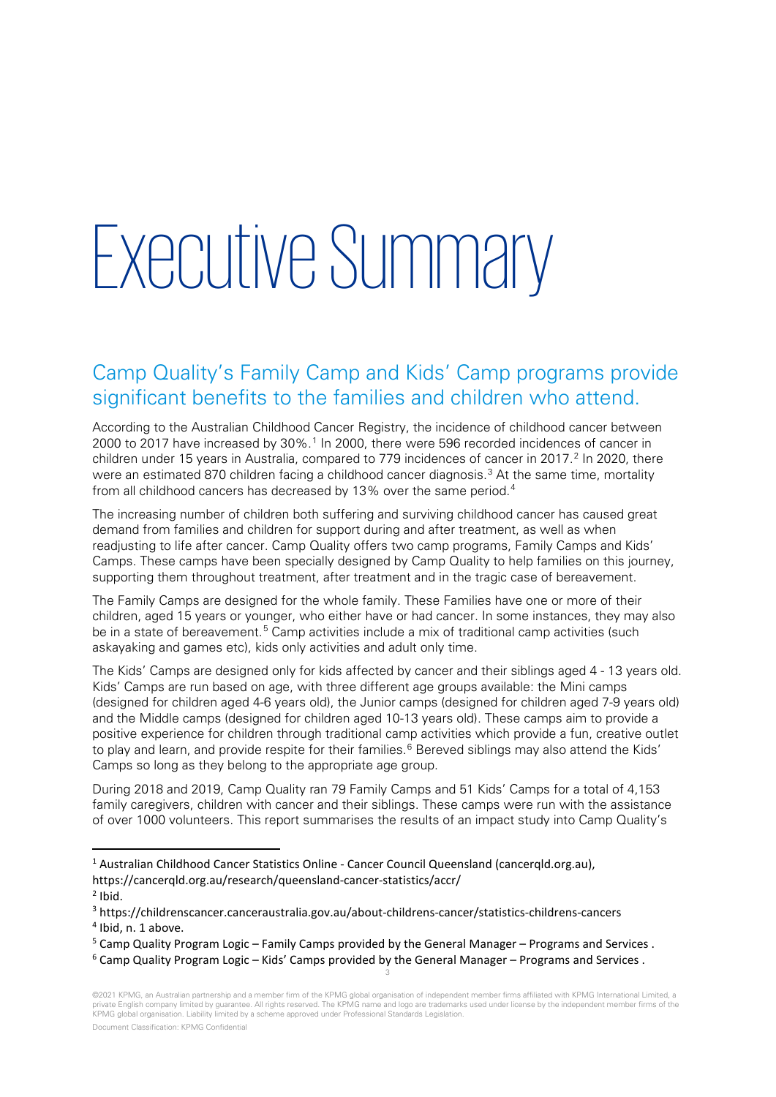## Executive Summary

## Camp Quality's Family Camp and Kids' Camp programs provide significant benefits to the families and children who attend.

According to the Australian Childhood Cancer Registry, the incidence of childhood cancer between 2000 to 20[1](#page-2-0)7 have increased by 30%.<sup>1</sup> In 2000, there were 596 recorded incidences of cancer in children under 15 years in Australia, compared to 779 incidences of cancer in [2](#page-2-1)017.<sup>2</sup> In 2020, there were an estimated 870 children facing a childhood cancer diagnosis.<sup>[3](#page-2-2)</sup> At the same time, mortality from all childhood cancers has decreased by 13% over the same period.<sup>[4](#page-2-3)</sup>

The increasing number of children both suffering and surviving childhood cancer has caused great demand from families and children for support during and after treatment, as well as when readjusting to life after cancer. Camp Quality offers two camp programs, Family Camps and Kids' Camps. These camps have been specially designed by Camp Quality to help families on this journey, supporting them throughout treatment, after treatment and in the tragic case of bereavement.

The Family Camps are designed for the whole family. These Families have one or more of their children, aged 15 years or younger, who either have or had cancer. In some instances, they may also be in a state of bereavement.<sup>[5](#page-2-4)</sup> Camp activities include a mix of traditional camp activities (such askayaking and games etc), kids only activities and adult only time.

The Kids' Camps are designed only for kids affected by cancer and their siblings aged 4 - 13 years old. Kids' Camps are run based on age, with three different age groups available: the Mini camps (designed for children aged 4-6 years old), the Junior camps (designed for children aged 7-9 years old) and the Middle camps (designed for children aged 10-13 years old). These camps aim to provide a positive experience for children through traditional camp activities which provide a fun, creative outlet to play and learn, and provide respite for their families.<sup>[6](#page-2-5)</sup> Bereved siblings may also attend the Kids' Camps so long as they belong to the appropriate age group.

During 2018 and 2019, Camp Quality ran 79 Family Camps and 51 Kids' Camps for a total of 4,153 family caregivers, children with cancer and their siblings. These camps were run with the assistance of over 1000 volunteers. This report summarises the results of an impact study into Camp Quality's

<span id="page-2-0"></span><sup>1</sup> Australian Childhood Cancer Statistics Online - Cancer Council Queensland (cancerqld.org.au), https://cancerqld.org.au/research/queensland-cancer-statistics/accr/

3

<span id="page-2-1"></span> $<sup>2</sup>$  Ibid.</sup>

<span id="page-2-2"></span><sup>3</sup> https://childrenscancer.canceraustralia.gov.au/about-childrens-cancer/statistics-childrens-cancers

<span id="page-2-3"></span><sup>&</sup>lt;sup>4</sup> Ibid. n. 1 above.

<span id="page-2-4"></span><sup>&</sup>lt;sup>5</sup> Camp Quality Program Logic – Family Camps provided by the General Manager – Programs and Services .<br><sup>6</sup> Camp Quality Program Logic – Kids' Camps provided by the General Manager – Programs and Services .

<span id="page-2-5"></span>

<sup>©2021</sup> KPMG, an Australian partnership and a member firm of the KPMG global organisation of independent member firms affiliated with KPMG International Limited, a private English company limited by guarantee. All rights reserved. The KPMG name and logo are trademarks used under license by the independent member firms of the KPMG global organisation. Liability limited by a scheme approved under Professional Standards Legislation.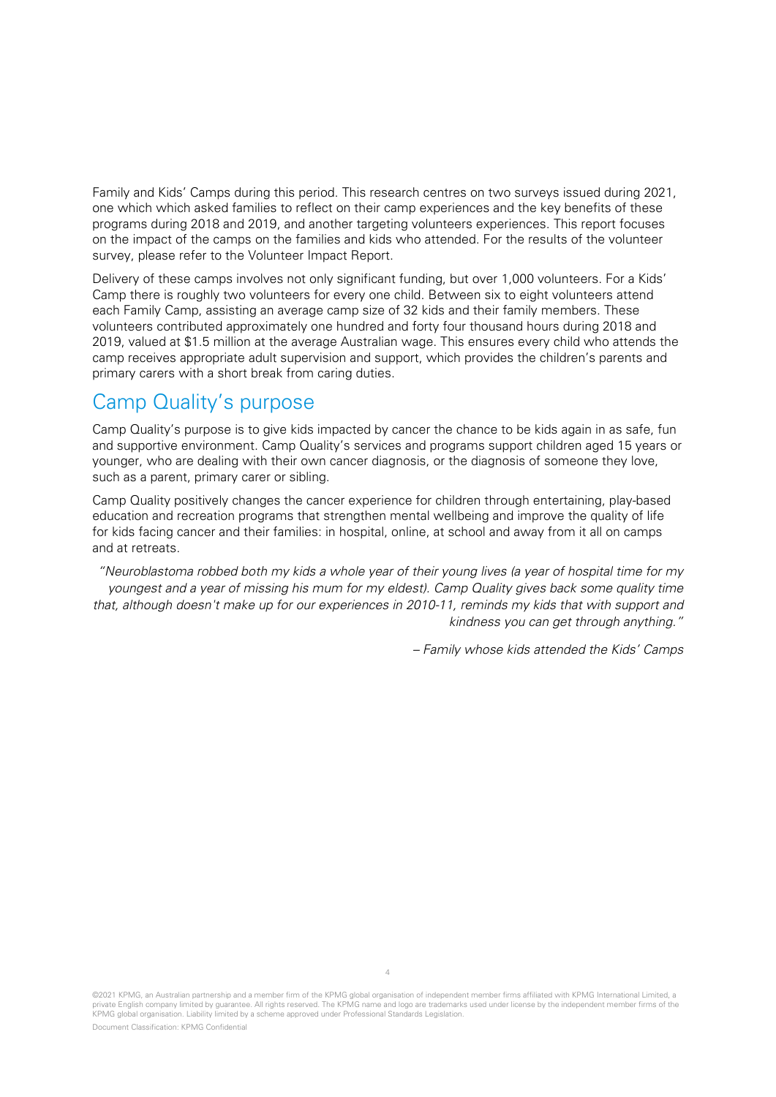Family and Kids' Camps during this period. This research centres on two surveys issued during 2021, one which which asked families to reflect on their camp experiences and the key benefits of these programs during 2018 and 2019, and another targeting volunteers experiences. This report focuses on the impact of the camps on the families and kids who attended. For the results of the volunteer survey, please refer to the Volunteer Impact Report.

Delivery of these camps involves not only significant funding, but over 1,000 volunteers. For a Kids' Camp there is roughly two volunteers for every one child. Between six to eight volunteers attend each Family Camp, assisting an average camp size of 32 kids and their family members. These volunteers contributed approximately one hundred and forty four thousand hours during 2018 and 2019, valued at \$1.5 million at the average Australian wage. This ensures every child who attends the camp receives appropriate adult supervision and support, which provides the children's parents and primary carers with a short break from caring duties.

## Camp Quality's purpose

Camp Quality's purpose is to give kids impacted by cancer the chance to be kids again in as safe, fun and supportive environment. Camp Quality's services and programs support children aged 15 years or younger, who are dealing with their own cancer diagnosis, or the diagnosis of someone they love, such as a parent, primary carer or sibling.

Camp Quality positively changes the cancer experience for children through entertaining, play-based education and recreation programs that strengthen mental wellbeing and improve the quality of life for kids facing cancer and their families: in hospital, online, at school and away from it all on camps and at retreats.

"Neuroblastoma robbed both my kids a whole year of their young lives (a year of hospital time for my youngest and a year of missing his mum for my eldest). Camp Quality gives back some quality time that, although doesn't make up for our experiences in 2010-11, reminds my kids that with support and kindness you can get through anything."

– Family whose kids attended the Kids' Camps

©2021 KPMG, an Australian partnership and a member firm of the KPMG global organisation of independent member firms affiliated with KPMG International Limited, a private English company limited by guarantee. All rights reserved. The KPMG name and logo are trademarks used under license by the independent member firms of the KPMG global organisation. Liability limited by a scheme approved under Professional Standards Legislation.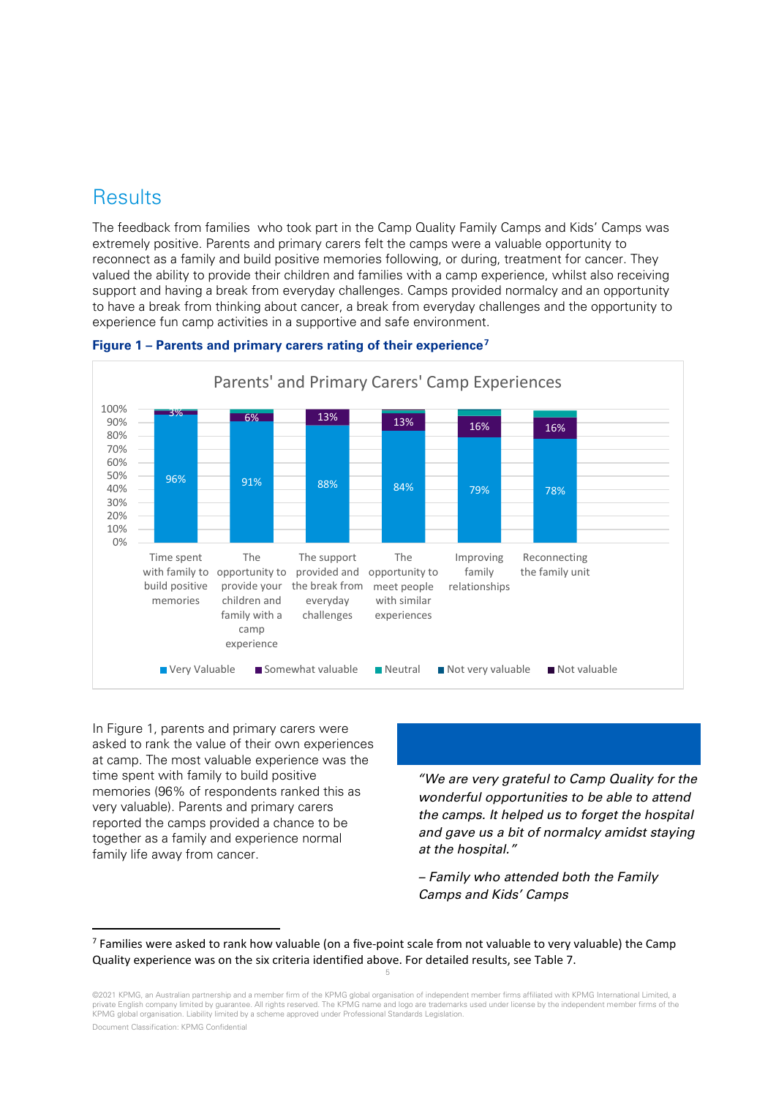## **Results**

The feedback from families who took part in the Camp Quality Family Camps and Kids' Camps was extremely positive. Parents and primary carers felt the camps were a valuable opportunity to reconnect as a family and build positive memories following, or during, treatment for cancer. They valued the ability to provide their children and families with a camp experience, whilst also receiving support and having a break from everyday challenges. Camps provided normalcy and an opportunity to have a break from thinking about cancer, a break from everyday challenges and the opportunity to experience fun camp activities in a supportive and safe environment.



#### <span id="page-4-0"></span>**Figure 1 – Parents and primary carers rating of their experience[7](#page-4-1)**

In [Figure 1,](#page-4-0) parents and primary carers were asked to rank the value of their own experiences at camp. The most valuable experience was the time spent with family to build positive memories (96% of respondents ranked this as very valuable). Parents and primary carers reported the camps provided a chance to be together as a family and experience normal family life away from cancer.

## *"We are very grateful to Camp Quality for the wonderful opportunities to be able to attend the camps. It helped us to forget the hospital and gave us a bit of normalcy amidst staying at the hospital."*

*– Family who attended both the Family Camps and Kids' Camps* 

<span id="page-4-1"></span><sup>5</sup> <sup>7</sup> Families were asked to rank how valuable (on a five-point scale from not valuable to very valuable) the Camp Quality experience was on the six criteria identified above. For detailed results, see [Table 7.](#page-18-0)

<sup>©2021</sup> KPMG, an Australian partnership and a member firm of the KPMG global organisation of independent member firms affiliated with KPMG International Limited, a private English company limited by guarantee. All rights reserved. The KPMG name and logo are trademarks used under license by the independent member firms of the KPMG global organisation. Liability limited by a scheme approved under Professional Standards Legislation.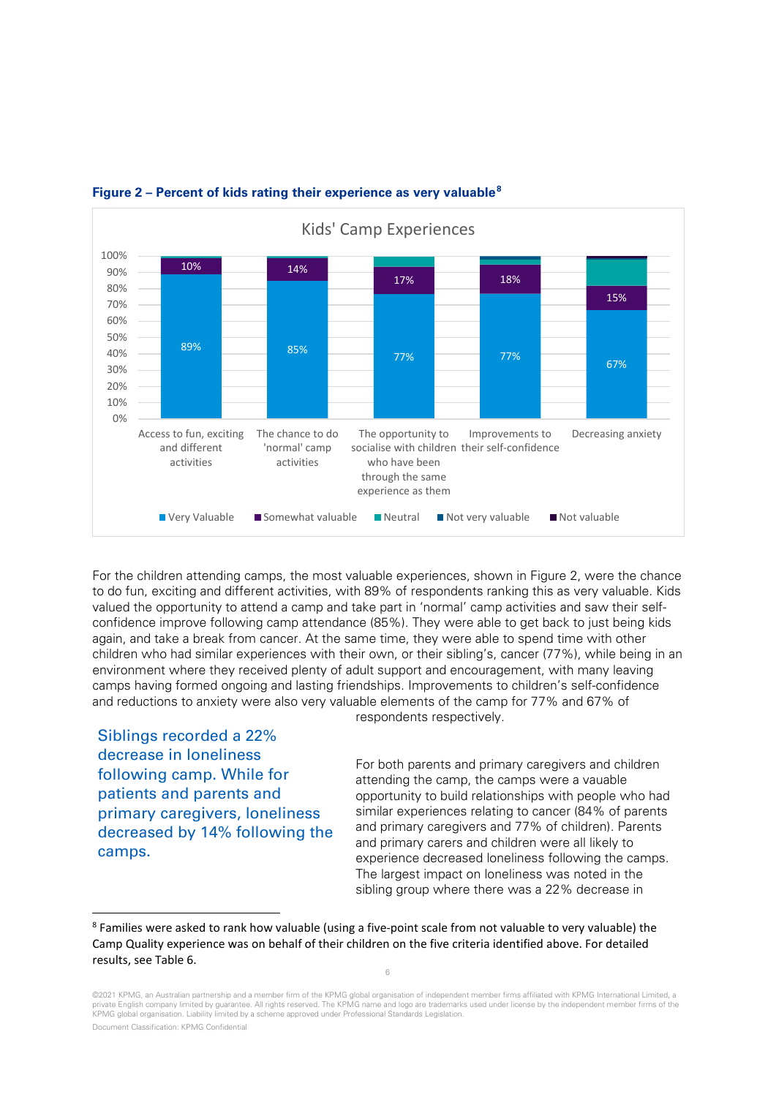

## <span id="page-5-0"></span>**Figure 2 – Percent of kids rating their experience as very valuable[8](#page-5-1)**

For the children attending camps, the most valuable experiences, shown in [Figure 2,](#page-5-0) were the chance to do fun, exciting and different activities, with 89% of respondents ranking this as very valuable. Kids valued the opportunity to attend a camp and take part in 'normal' camp activities and saw their selfconfidence improve following camp attendance (85%). They were able to get back to just being kids again, and take a break from cancer. At the same time, they were able to spend time with other children who had similar experiences with their own, or their sibling's, cancer (77%), while being in an environment where they received plenty of adult support and encouragement, with many leaving camps having formed ongoing and lasting friendships. Improvements to children's self-confidence and reductions to anxiety were also very valuable elements of the camp for 77% and 67% of respondents respectively.

Siblings recorded a 22% decrease in loneliness following camp. While for patients and parents and primary caregivers, loneliness decreased by 14% following the camps.

For both parents and primary caregivers and children attending the camp, the camps were a vauable opportunity to build relationships with people who had similar experiences relating to cancer (84% of parents and primary caregivers and 77% of children). Parents and primary carers and children were all likely to experience decreased loneliness following the camps. The largest impact on loneliness was noted in the sibling group where there was a 22% decrease in

<span id="page-5-1"></span><sup>&</sup>lt;sup>8</sup> Families were asked to rank how valuable (using a five-point scale from not valuable to very valuable) the Camp Quality experience was on behalf of their children on the five criteria identified above. For detailed results, see [Table 6.](#page-17-0)

<sup>©2021</sup> KPMG, an Australian partnership and a member firm of the KPMG global organisation of independent member firms affiliated with KPMG International Limited, a private English company limited by guarantee. All rights reserved. The KPMG name and logo are trademarks used under license by the independent member firms of the KPMG global organisation. Liability limited by a scheme approved under Professional Standards Legislation.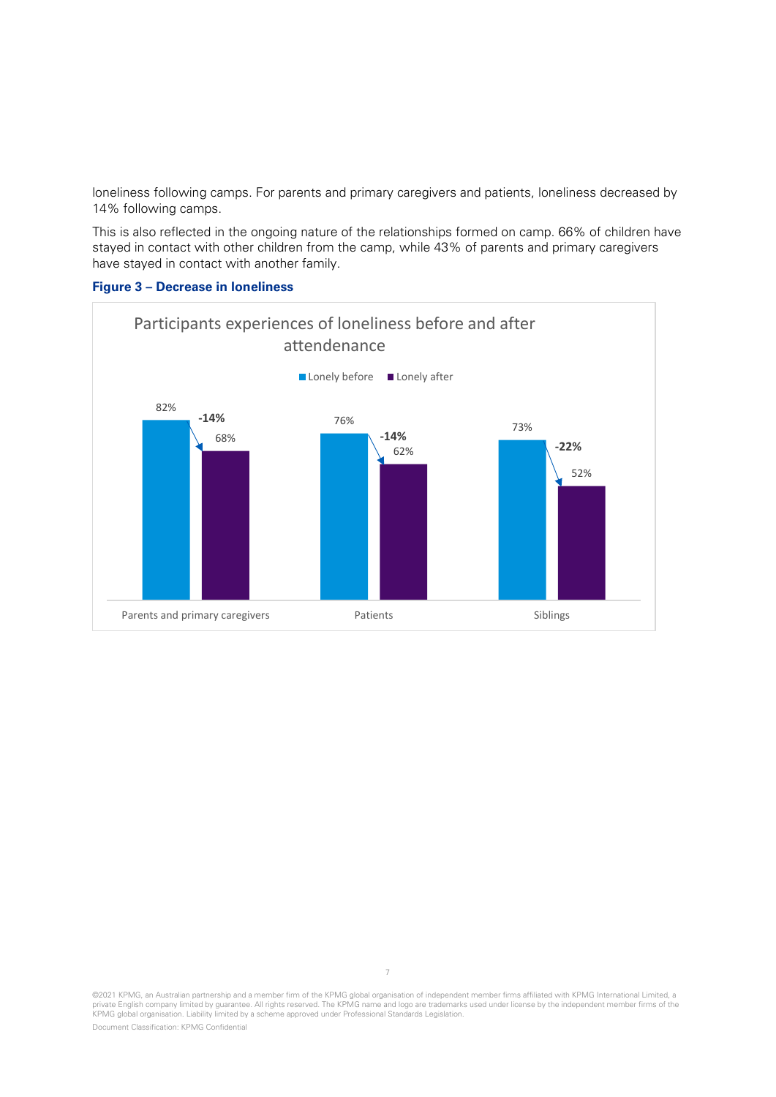loneliness following camps. For parents and primary caregivers and patients, loneliness decreased by 14% following camps.

This is also reflected in the ongoing nature of the relationships formed on camp. 66% of children have stayed in contact with other children from the camp, while 43% of parents and primary caregivers have stayed in contact with another family.



### **Figure 3 – Decrease in loneliness**

©2021 KPMG, an Australian partnership and a member firm of the KPMG global organisation of independent member firms affiliated with KPMG International Limited, a<br>private English company limited by guarantee. All rights res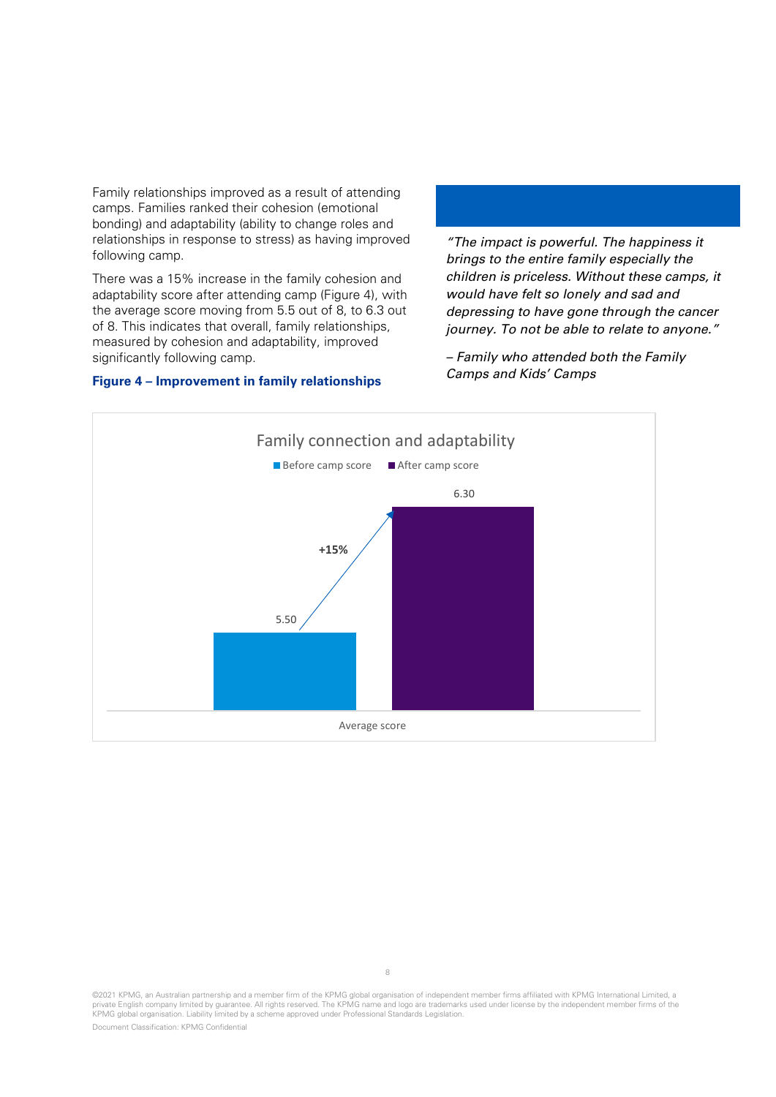Family relationships improved as a result of attending camps. Families ranked their cohesion (emotional bonding) and adaptability (ability to change roles and relationships in response to stress) as having improved following camp.

There was a 15% increase in the family cohesion and adaptability score after attending camp [\(Figure 4\)](#page-7-0), with the average score moving from 5.5 out of 8, to 6.3 out of 8. This indicates that overall, family relationships, measured by cohesion and adaptability, improved significantly following camp.

#### <span id="page-7-0"></span>**Figure 4 – Improvement in family relationships**

*"The impact is powerful. The happiness it brings to the entire family especially the children is priceless. Without these camps, it would have felt so lonely and sad and depressing to have gone through the cancer journey. To not be able to relate to anyone."*

*– Family who attended both the Family Camps and Kids' Camps*



<sup>©2021</sup> KPMG, an Australian partnership and a member firm of the KPMG global organisation of independent member firms affiliated with KPMG International Limited, a<br>private English company limited by guarantee. All rights res KPMG global organisation. Liability limited by a scheme approved under Professional Standards Legislation.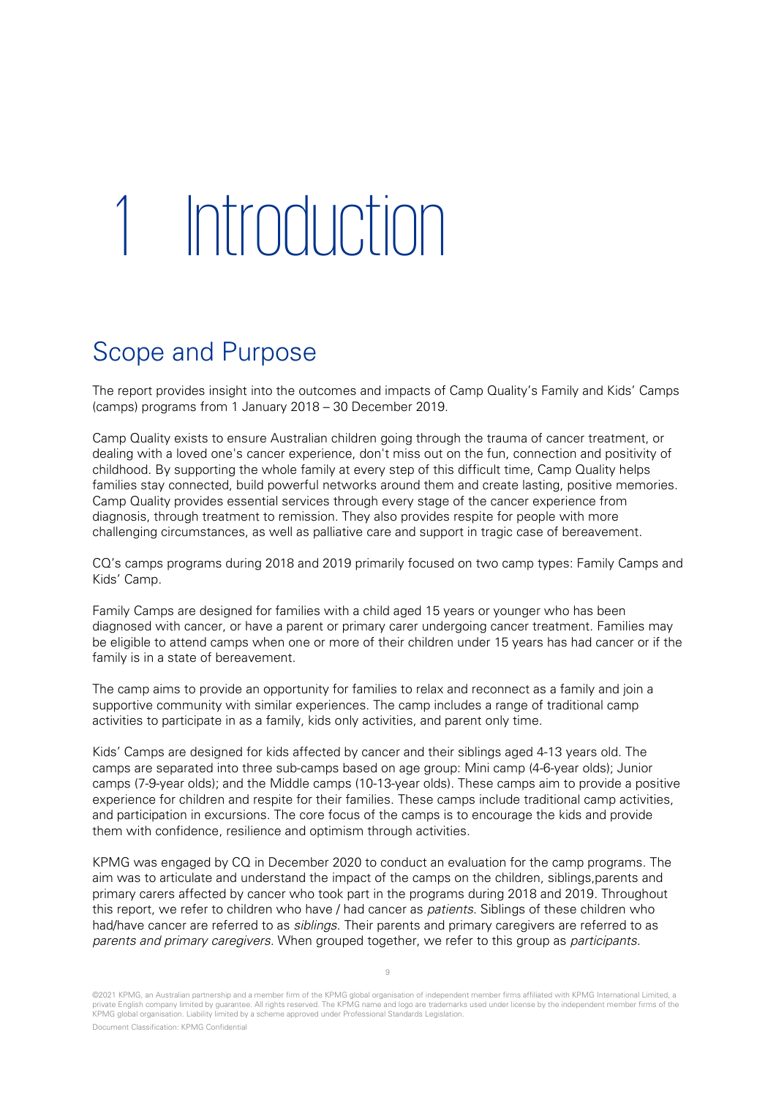## 1 Introduction

## Scope and Purpose

The report provides insight into the outcomes and impacts of Camp Quality's Family and Kids' Camps (camps) programs from 1 January 2018 – 30 December 2019.

Camp Quality exists to ensure Australian children going through the trauma of cancer treatment, or dealing with a loved one's cancer experience, don't miss out on the fun, connection and positivity of childhood. By supporting the whole family at every step of this difficult time, Camp Quality helps families stay connected, build powerful networks around them and create lasting, positive memories. Camp Quality provides essential services through every stage of the cancer experience from diagnosis, through treatment to remission. They also provides respite for people with more challenging circumstances, as well as palliative care and support in tragic case of bereavement.

CQ's camps programs during 2018 and 2019 primarily focused on two camp types: Family Camps and Kids' Camp.

Family Camps are designed for families with a child aged 15 years or younger who has been diagnosed with cancer, or have a parent or primary carer undergoing cancer treatment. Families may be eligible to attend camps when one or more of their children under 15 years has had cancer or if the family is in a state of bereavement.

The camp aims to provide an opportunity for families to relax and reconnect as a family and join a supportive community with similar experiences. The camp includes a range of traditional camp activities to participate in as a family, kids only activities, and parent only time.

Kids' Camps are designed for kids affected by cancer and their siblings aged 4-13 years old. The camps are separated into three sub-camps based on age group: Mini camp (4-6-year olds); Junior camps (7-9-year olds); and the Middle camps (10-13-year olds). These camps aim to provide a positive experience for children and respite for their families. These camps include traditional camp activities, and participation in excursions. The core focus of the camps is to encourage the kids and provide them with confidence, resilience and optimism through activities.

KPMG was engaged by CQ in December 2020 to conduct an evaluation for the camp programs. The aim was to articulate and understand the impact of the camps on the children, siblings, parents and primary carers affected by cancer who took part in the programs during 2018 and 2019. Throughout this report, we refer to children who have / had cancer as patients. Siblings of these children who had/have cancer are referred to as *siblings*. Their parents and primary caregivers are referred to as parents and primary caregivers. When grouped together, we refer to this group as participants.

<sup>©2021</sup> KPMG, an Australian partnership and a member firm of the KPMG global organisation of independent member firms affiliated with KPMG International Limited, a private English company limited by guarantee. All rights reserved. The KPMG name and logo are trademarks used under license by the independent member firms of the KPMG global organisation. Liability limited by a scheme approved under Professional Standards Legislation.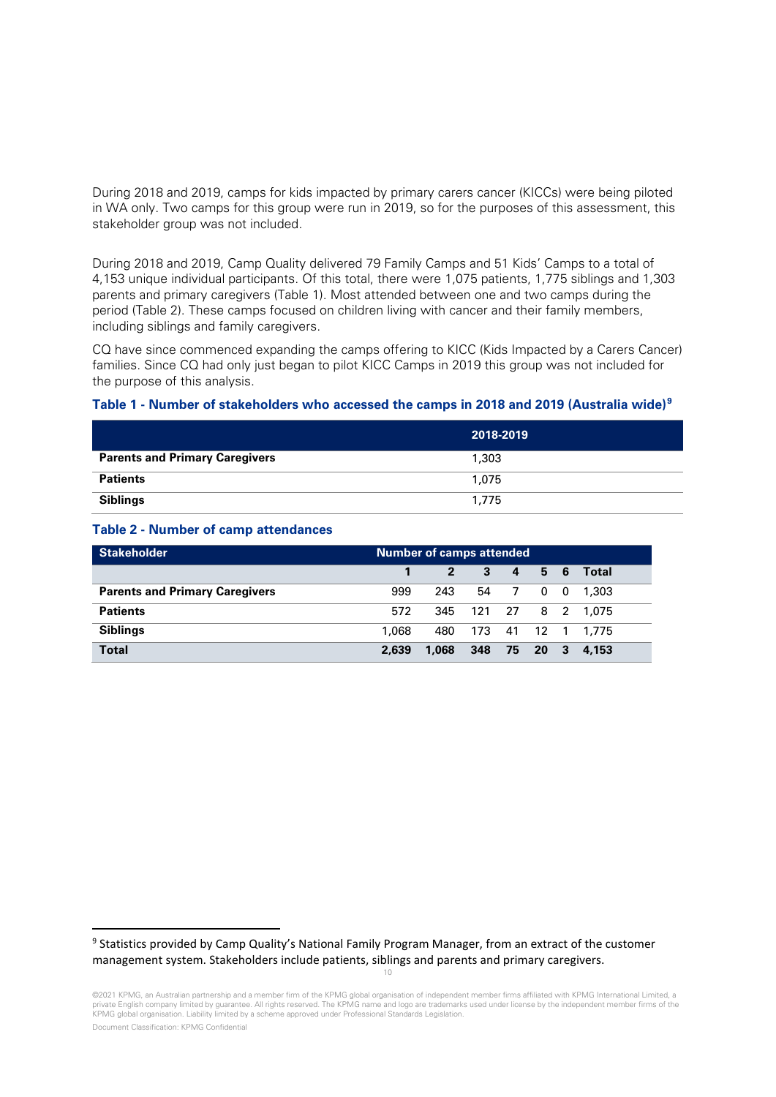During 2018 and 2019, camps for kids impacted by primary carers cancer (KICCs) were being piloted in WA only. Two camps for this group were run in 2019, so for the purposes of this assessment, this stakeholder group was not included.

During 2018 and 2019, Camp Quality delivered 79 Family Camps and 51 Kids' Camps to a total of 4,153 unique individual participants. Of this total, there were 1,075 patients, 1,775 siblings and 1,303 parents and primary caregivers [\(Table 1\)](#page-9-0). Most attended between one and two camps during the period [\(Table 2\)](#page-9-1). These camps focused on children living with cancer and their family members, including siblings and family caregivers.

CQ have since commenced expanding the camps offering to KICC (Kids Impacted by a Carers Cancer) families. Since CQ had only just began to pilot KICC Camps in 2019 this group was not included for the purpose of this analysis.

#### <span id="page-9-0"></span>**Table 1 - Number of stakeholders who accessed the camps in 2018 and 2019 (Australia wide)[9](#page-9-2)**

|                                       | 2018-2019 |
|---------------------------------------|-----------|
| <b>Parents and Primary Caregivers</b> | 1,303     |
| <b>Patients</b>                       | 1.075     |
| <b>Siblings</b>                       | 1.775     |

#### <span id="page-9-1"></span>**Table 2 - Number of camp attendances**

| <b>Stakeholder</b>                    | Number of camps attended |                |              |          |     |                       |
|---------------------------------------|--------------------------|----------------|--------------|----------|-----|-----------------------|
|                                       |                          | $\overline{2}$ | $\mathbf{3}$ | $\sim$ 4 | 5 6 | - Total               |
| <b>Parents and Primary Caregivers</b> | 999                      | 243            | 54           |          |     | 7 0 0 1.303           |
| <b>Patients</b>                       | 572                      |                |              |          |     | 345 121 27 8 2 1,075  |
| <b>Siblings</b>                       | 1.068                    |                |              |          |     | 480 173 41 12 1 1.775 |
| <b>Total</b>                          | 2,639                    | 1,068          | 348 75 20 3  |          |     | 4.153                 |

<span id="page-9-2"></span><sup>9</sup> Statistics provided by Camp Quality's National Family Program Manager, from an extract of the customer management system. Stakeholders include patients, siblings and parents and primary caregivers.

10

<sup>©2021</sup> KPMG, an Australian partnership and a member firm of the KPMG global organisation of independent member firms affiliated with KPMG International Limited, a private English company limited by guarantee. All rights reserved. The KPMG name and logo are trademarks used under license by the independent member firms of the KPMG global organisation. Liability limited by a scheme approved under Professional Standards Legislation.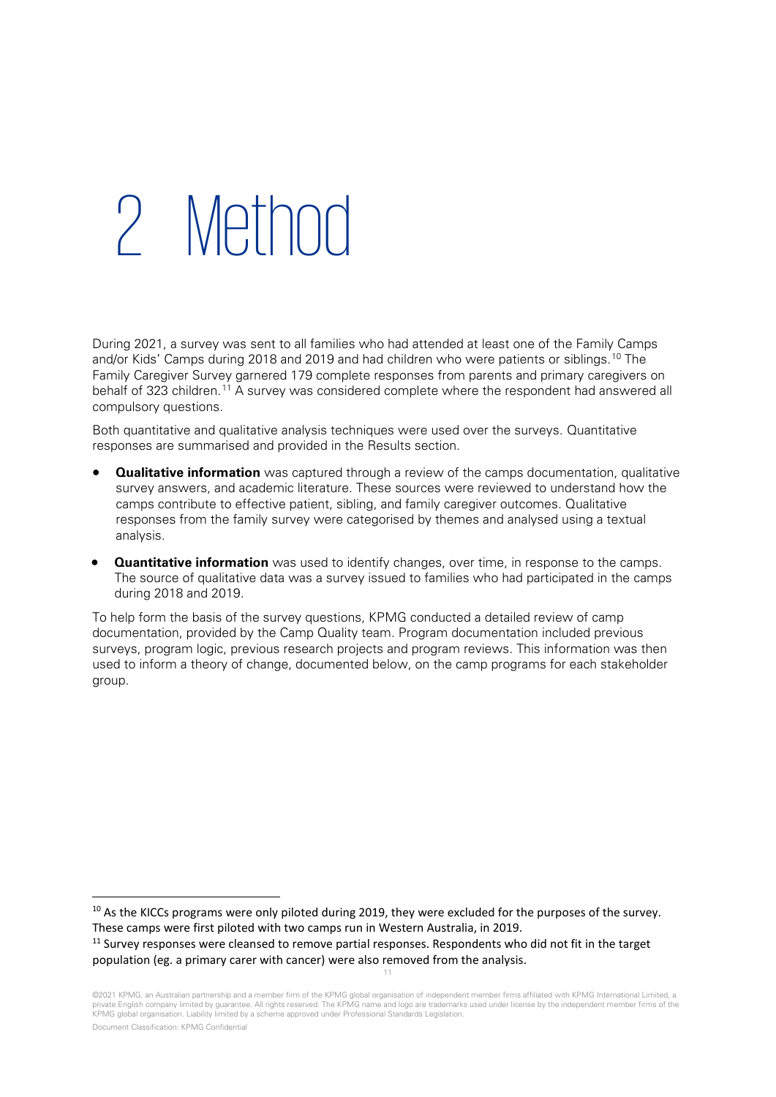## 2 Method

During 2021, a survey was sent to all families who had attended at least one of the Family Camps and/or Kids' Camps during 2018 and 2019 and had children who were patients or siblings.<sup>[10](#page-10-0)</sup> The Family Caregiver Survey garnered 179 complete responses from parents and primary caregivers on behalf of 323 children.<sup>[11](#page-10-1)</sup> A survey was considered complete where the respondent had answered all compulsory questions.

Both quantitative and qualitative analysis techniques were used over the surveys. Quantitative responses are summarised and provided in the Results section.

- **Qualitative information** was captured through a review of the camps documentation, qualitative survey answers, and academic literature. These sources were reviewed to understand how the camps contribute to effective patient, sibling, and family caregiver outcomes. Qualitative responses from the family survey were categorised by themes and analysed using a textual analysis.
- **Quantitative information** was used to identify changes, over time, in response to the camps. The source of qualitative data was a survey issued to families who had participated in the camps during 2018 and 2019.

To help form the basis of the survey questions, KPMG conducted a detailed review of camp documentation, provided by the Camp Quality team. Program documentation included previous surveys, program logic, previous research projects and program reviews. This information was then used to inform a theory of change, documented below, on the camp programs for each stakeholder group.

11

<span id="page-10-0"></span><sup>&</sup>lt;sup>10</sup> As the KICCs programs were only piloted during 2019, they were excluded for the purposes of the survey. These camps were first piloted with two camps run in Western Australia, in 2019.

<span id="page-10-1"></span><sup>&</sup>lt;sup>11</sup> Survey responses were cleansed to remove partial responses. Respondents who did not fit in the target population (eg. a primary carer with cancer) were also removed from the analysis.

<sup>©2021</sup> KPMG, an Australian partnership and a member firm of the KPMG global organisation of independent member firms affiliated with KPMG International Limited, a private English company limited by guarantee. All rights reserved. The KPMG name and logo are trademarks used under license by the independent member firms of the KPMG global organisation. Liability limited by a scheme approved under Professional Standards Legislation.

Document Classification: KPMG Confidential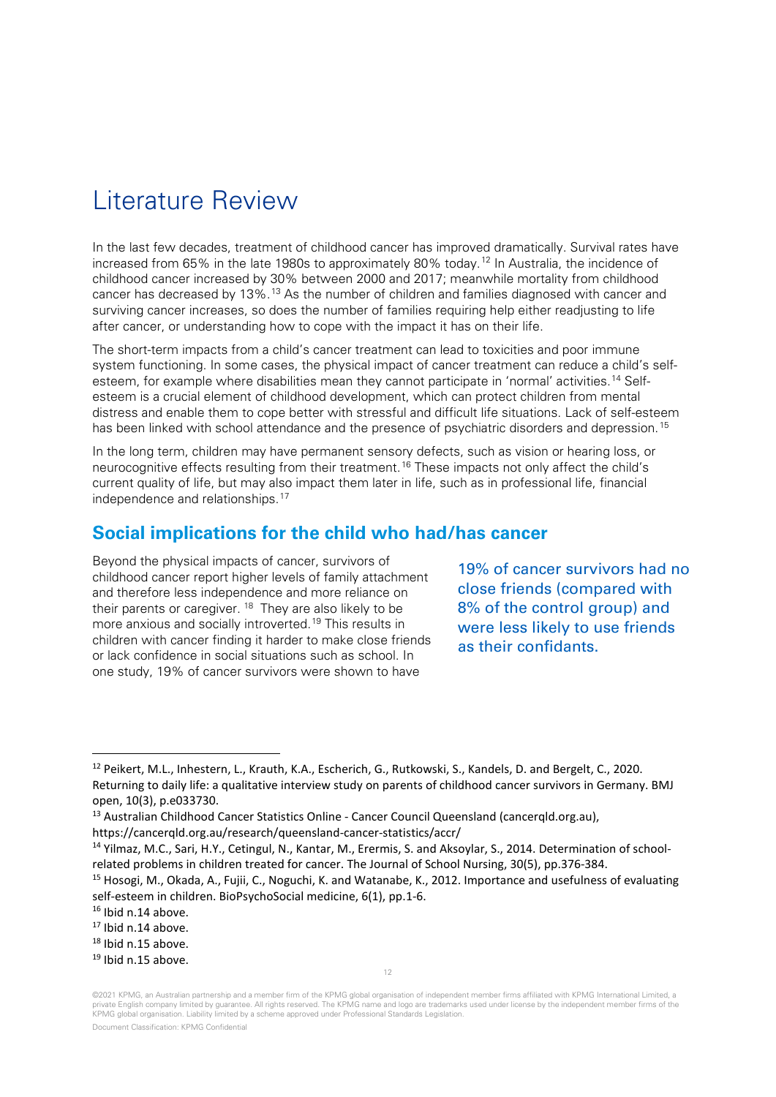## Literature Review

In the last few decades, treatment of childhood cancer has improved dramatically. Survival rates have increased from 65% in the late 1980s to approximately 80% today.<sup>[12](#page-11-0)</sup> In Australia, the incidence of childhood cancer increased by 30% between 2000 and 2017; meanwhile mortality from childhood cancer has decreased by 13%.[13](#page-11-1) As the number of children and families diagnosed with cancer and surviving cancer increases, so does the number of families requiring help either readjusting to life after cancer, or understanding how to cope with the impact it has on their life.

The short-term impacts from a child's cancer treatment can lead to toxicities and poor immune system functioning. In some cases, the physical impact of cancer treatment can reduce a child's selfesteem, for example where disabilities mean they cannot participate in 'normal' activities.[14](#page-11-2) Selfesteem is a crucial element of childhood development, which can protect children from mental distress and enable them to cope better with stressful and difficult life situations. Lack of self-esteem has been linked with school attendance and the presence of psychiatric disorders and depression.<sup>[15](#page-11-3)</sup>

In the long term, children may have permanent sensory defects, such as vision or hearing loss, or neurocognitive effects resulting from their treatment.<sup>[16](#page-11-4)</sup> These impacts not only affect the child's current quality of life, but may also impact them later in life, such as in professional life, financial independence and relationships.[17](#page-11-5)

## **Social implications for the child who had/has cancer**

Beyond the physical impacts of cancer, survivors of childhood cancer report higher levels of family attachment and therefore less independence and more reliance on their parents or caregiver.  $18$  They are also likely to be more anxious and socially introverted.[19](#page-11-7) This results in children with cancer finding it harder to make close friends or lack confidence in social situations such as school. In one study, 19% of cancer survivors were shown to have

19% of cancer survivors had no close friends (compared with 8% of the control group) and were less likely to use friends as their confidants.

12

<span id="page-11-0"></span><sup>12</sup> Peikert, M.L., Inhestern, L., Krauth, K.A., Escherich, G., Rutkowski, S., Kandels, D. and Bergelt, C., 2020. Returning to daily life: a qualitative interview study on parents of childhood cancer survivors in Germany. BMJ open, 10(3), p.e033730.

<span id="page-11-1"></span><sup>&</sup>lt;sup>13</sup> Australian Childhood Cancer Statistics Online - Cancer Council Queensland (cancergld.org.au),

https://cancerqld.org.au/research/queensland-cancer-statistics/accr/

<span id="page-11-2"></span><sup>&</sup>lt;sup>14</sup> Yilmaz, M.C., Sari, H.Y., Cetingul, N., Kantar, M., Erermis, S. and Aksoylar, S., 2014. Determination of schoolrelated problems in children treated for cancer. The Journal of School Nursing, 30(5), pp.376-384.

<span id="page-11-3"></span><sup>15</sup> Hosogi, M., Okada, A., Fujii, C., Noguchi, K. and Watanabe, K., 2012. Importance and usefulness of evaluating self-esteem in children. BioPsychoSocial medicine, 6(1), pp.1-6.

<span id="page-11-6"></span><span id="page-11-5"></span>

<span id="page-11-4"></span><sup>&</sup>lt;sup>16</sup> Ibid n.14 above.<br><sup>17</sup> Ibid n.14 above.<br><sup>18</sup> Ibid n.15 above.<br><sup>19</sup> Ibid n.15 above.

<span id="page-11-7"></span>

<sup>©2021</sup> KPMG, an Australian partnership and a member firm of the KPMG global organisation of independent member firms affiliated with KPMG International Limited, a private English company limited by guarantee. All rights reserved. The KPMG name and logo are trademarks used under license by the independent member firms of the KPMG global organisation. Liability limited by a scheme approved under Professional Standards Legislation.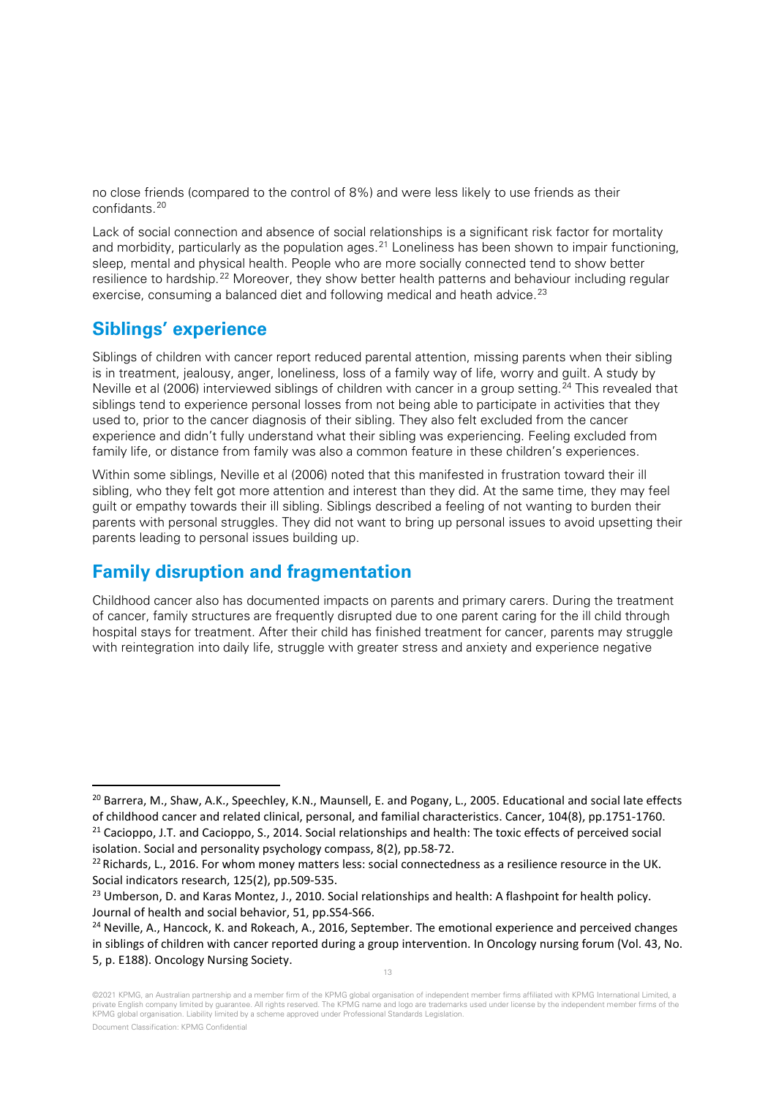no close friends (compared to the control of 8%) and were less likely to use friends as their confidants.[20](#page-12-0)

Lack of social connection and absence of social relationships is a significant risk factor for mortality and morbidity, particularly as the population ages.<sup>[21](#page-12-1)</sup> Loneliness has been shown to impair functioning, sleep, mental and physical health. People who are more socially connected tend to show better resilience to hardship.<sup>[22](#page-12-2)</sup> Moreover, they show better health patterns and behaviour including regular exercise, consuming a balanced diet and following medical and heath advice.<sup>[23](#page-12-3)</sup>

## **Siblings' experience**

Siblings of children with cancer report reduced parental attention, missing parents when their sibling is in treatment, jealousy, anger, loneliness, loss of a family way of life, worry and guilt. A study by Neville et al (2006) interviewed siblings of children with cancer in a group setting.<sup>[24](#page-12-4)</sup> This revealed that siblings tend to experience personal losses from not being able to participate in activities that they used to, prior to the cancer diagnosis of their sibling. They also felt excluded from the cancer experience and didn't fully understand what their sibling was experiencing. Feeling excluded from family life, or distance from family was also a common feature in these children's experiences.

Within some siblings, Neville et al (2006) noted that this manifested in frustration toward their ill sibling, who they felt got more attention and interest than they did. At the same time, they may feel guilt or empathy towards their ill sibling. Siblings described a feeling of not wanting to burden their parents with personal struggles. They did not want to bring up personal issues to avoid upsetting their parents leading to personal issues building up.

## **Family disruption and fragmentation**

Childhood cancer also has documented impacts on parents and primary carers. During the treatment of cancer, family structures are frequently disrupted due to one parent caring for the ill child through hospital stays for treatment. After their child has finished treatment for cancer, parents may struggle with reintegration into daily life, struggle with greater stress and anxiety and experience negative

13

<span id="page-12-0"></span><sup>&</sup>lt;sup>20</sup> Barrera, M., Shaw, A.K., Speechley, K.N., Maunsell, E. and Pogany, L., 2005. Educational and social late effects of childhood cancer and related clinical, personal, and familial characteristics. Cancer, 104(8), pp.1751-1760.

<span id="page-12-1"></span><sup>&</sup>lt;sup>21</sup> Cacioppo, J.T. and Cacioppo, S., 2014. Social relationships and health: The toxic effects of perceived social isolation. Social and personality psychology compass, 8(2), pp.58-72.

<span id="page-12-2"></span> $^{22}$  Richards, L., 2016. For whom money matters less: social connectedness as a resilience resource in the UK. Social indicators research, 125(2), pp.509-535.

<span id="page-12-3"></span><sup>&</sup>lt;sup>23</sup> Umberson, D. and Karas Montez, J., 2010. Social relationships and health: A flashpoint for health policy. Journal of health and social behavior, 51, pp.S54-S66.

<span id="page-12-4"></span> $24$  Neville, A., Hancock, K. and Rokeach, A., 2016, September. The emotional experience and perceived changes in siblings of children with cancer reported during a group intervention. In Oncology nursing forum (Vol. 43, No. 5, p. E188). Oncology Nursing Society.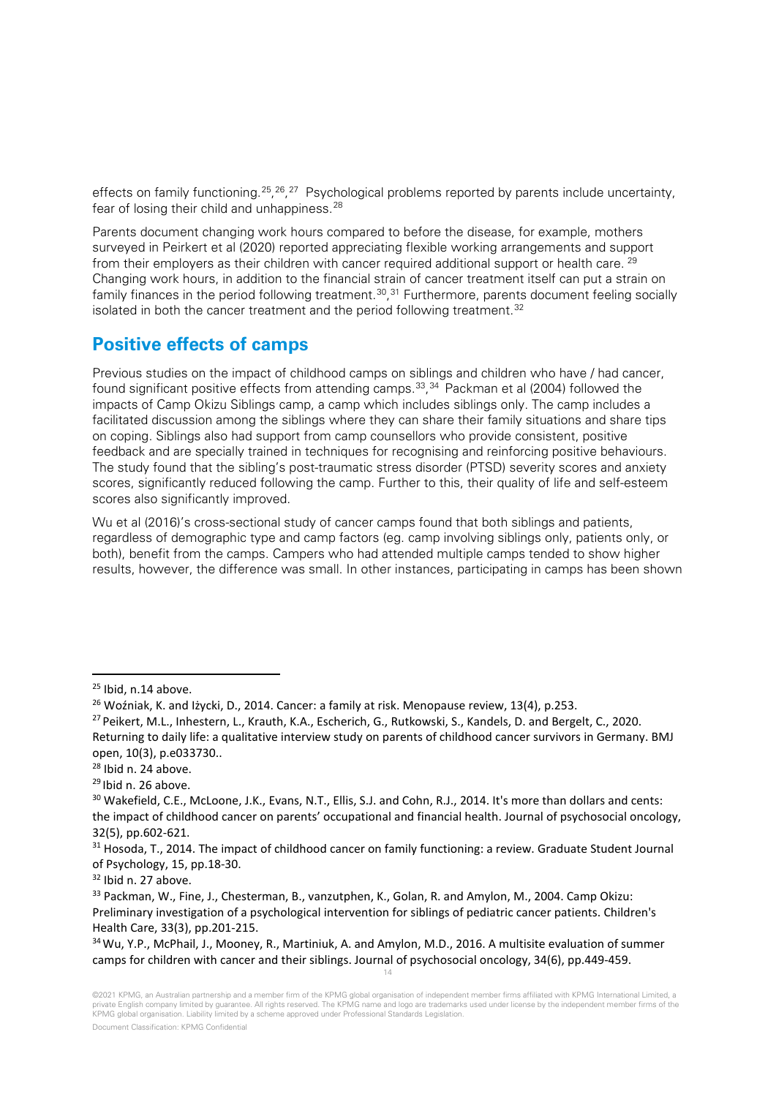effects on family functioning.<sup>[25](#page-13-0)</sup>, <sup>26</sup>, <sup>[27](#page-13-2)</sup> Psychological problems reported by parents include uncertainty, fear of losing their child and unhappiness.<sup>[28](#page-13-3)</sup>

Parents document changing work hours compared to before the disease, for example, mothers surveyed in Peirkert et al (2020) reported appreciating flexible working arrangements and support from their employers as their children with cancer required additional support or health care. <sup>[29](#page-13-4)</sup> Changing work hours, in addition to the financial strain of cancer treatment itself can put a strain on family finances in the period following treatment.<sup>30</sup>,<sup>[31](#page-13-6)</sup> Furthermore, parents document feeling socially isolated in both the cancer treatment and the period following treatment.<sup>[32](#page-13-7)</sup>

## **Positive effects of camps**

Previous studies on the impact of childhood camps on siblings and children who have / had cancer, found significant positive effects from attending camps.<sup>[33](#page-13-8)</sup>,<sup>[34](#page-13-9)</sup> Packman et al (2004) followed the impacts of Camp Okizu Siblings camp, a camp which includes siblings only. The camp includes a facilitated discussion among the siblings where they can share their family situations and share tips on coping. Siblings also had support from camp counsellors who provide consistent, positive feedback and are specially trained in techniques for recognising and reinforcing positive behaviours. The study found that the sibling's post-traumatic stress disorder (PTSD) severity scores and anxiety scores, significantly reduced following the camp. Further to this, their quality of life and self-esteem scores also significantly improved.

Wu et al (2016)'s cross-sectional study of cancer camps found that both siblings and patients, regardless of demographic type and camp factors (eg. camp involving siblings only, patients only, or both), benefit from the camps. Campers who had attended multiple camps tended to show higher results, however, the difference was small. In other instances, participating in camps has been shown

<span id="page-13-1"></span><span id="page-13-0"></span><sup>&</sup>lt;sup>25</sup> Ibid, n.14 above.<br><sup>26</sup> Woźniak, K. and Iżycki, D., 2014. Cancer: a family at risk. Menopause review, 13(4), p.253.

<span id="page-13-2"></span><sup>&</sup>lt;sup>27</sup> Peikert, M.L., Inhestern, L., Krauth, K.A., Escherich, G., Rutkowski, S., Kandels, D. and Bergelt, C., 2020. Returning to daily life: a qualitative interview study on parents of childhood cancer survivors in Germany. BMJ open, 10(3), p.e033730..

<span id="page-13-4"></span><span id="page-13-3"></span> $^{28}$  Ibid n. 24 above.<br> $^{29}$ Ibid n. 26 above.

<span id="page-13-5"></span><sup>&</sup>lt;sup>30</sup> Wakefield, C.E., McLoone, J.K., Evans, N.T., Ellis, S.J. and Cohn, R.J., 2014. It's more than dollars and cents: the impact of childhood cancer on parents' occupational and financial health. Journal of psychosocial oncology, 32(5), pp.602-621.

<span id="page-13-6"></span><sup>&</sup>lt;sup>31</sup> Hosoda, T., 2014. The impact of childhood cancer on family functioning: a review. Graduate Student Journal of Psychology, 15, pp.18-30.

<span id="page-13-7"></span><sup>32</sup> Ibid n. 27 above.

<span id="page-13-8"></span><sup>&</sup>lt;sup>33</sup> Packman, W., Fine, J., Chesterman, B., vanzutphen, K., Golan, R. and Amylon, M., 2004. Camp Okizu: Preliminary investigation of a psychological intervention for siblings of pediatric cancer patients. Children's

<span id="page-13-9"></span><sup>14</sup> Health Care, 33(3), pp.201-215.<br><sup>34</sup>Wu, Y.P., McPhail, J., Mooney, R., Martiniuk, A. and Amylon, M.D., 2016. A multisite evaluation of summer camps for children with cancer and their siblings. Journal of psychosocial oncology, 34(6), pp.449-459.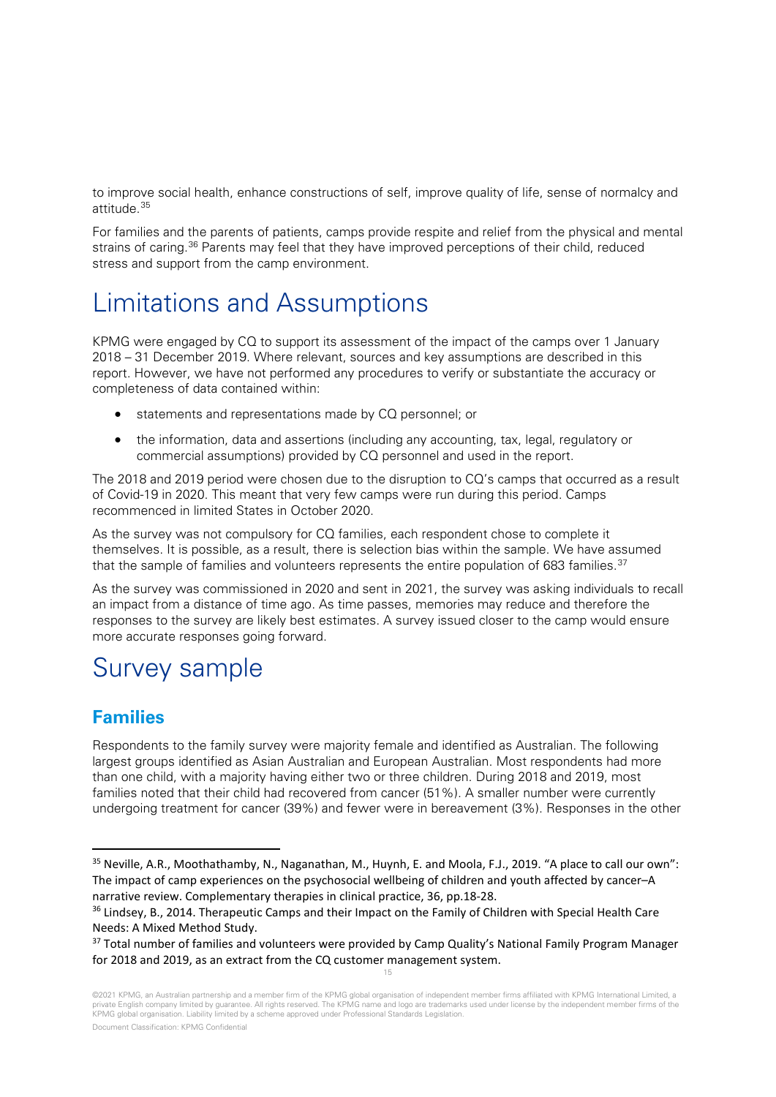to improve social health, enhance constructions of self, improve quality of life, sense of normalcy and attitude.[35](#page-14-0)

For families and the parents of patients, camps provide respite and relief from the physical and mental strains of caring.<sup>[36](#page-14-1)</sup> Parents may feel that they have improved perceptions of their child, reduced stress and support from the camp environment.

## Limitations and Assumptions

KPMG were engaged by CQ to support its assessment of the impact of the camps over 1 January 2018 – 31 December 2019. Where relevant, sources and key assumptions are described in this report. However, we have not performed any procedures to verify or substantiate the accuracy or completeness of data contained within:

- statements and representations made by CQ personnel; or
- the information, data and assertions (including any accounting, tax, legal, regulatory or commercial assumptions) provided by CQ personnel and used in the report.

The 2018 and 2019 period were chosen due to the disruption to CQ's camps that occurred as a result of Covid-19 in 2020. This meant that very few camps were run during this period. Camps recommenced in limited States in October 2020.

As the survey was not compulsory for CQ families, each respondent chose to complete it themselves. It is possible, as a result, there is selection bias within the sample. We have assumed that the sample of families and volunteers represents the entire population of 683 families.<sup>[37](#page-14-2)</sup>

As the survey was commissioned in 2020 and sent in 2021, the survey was asking individuals to recall an impact from a distance of time ago. As time passes, memories may reduce and therefore the responses to the survey are likely best estimates. A survey issued closer to the camp would ensure more accurate responses going forward.

## Survey sample

## **Families**

Respondents to the family survey were majority female and identified as Australian. The following largest groups identified as Asian Australian and European Australian. Most respondents had more than one child, with a majority having either two or three children. During 2018 and 2019, most families noted that their child had recovered from cancer (51%). A smaller number were currently undergoing treatment for cancer (39%) and fewer were in bereavement (3%). Responses in the other

<span id="page-14-0"></span><sup>35</sup> Neville, A.R., Moothathamby, N., Naganathan, M., Huynh, E. and Moola, F.J., 2019. "A place to call our own": The impact of camp experiences on the psychosocial wellbeing of children and youth affected by cancer–A narrative review. Complementary therapies in clinical practice, 36, pp.18-28.

<span id="page-14-1"></span><sup>&</sup>lt;sup>36</sup> Lindsey, B., 2014. Therapeutic Camps and their Impact on the Family of Children with Special Health Care Needs: A Mixed Method Study.

<span id="page-14-2"></span><sup>15</sup> <sup>37</sup> Total number of families and volunteers were provided by Camp Quality's National Family Program Manager for 2018 and 2019, as an extract from the CQ customer management system.

<sup>©2021</sup> KPMG, an Australian partnership and a member firm of the KPMG global organisation of independent member firms affiliated with KPMG International Limited, a private English company limited by guarantee. All rights reserved. The KPMG name and logo are trademarks used under license by the independent member firms of the KPMG global organisation. Liability limited by a scheme approved under Professional Standards Legislation.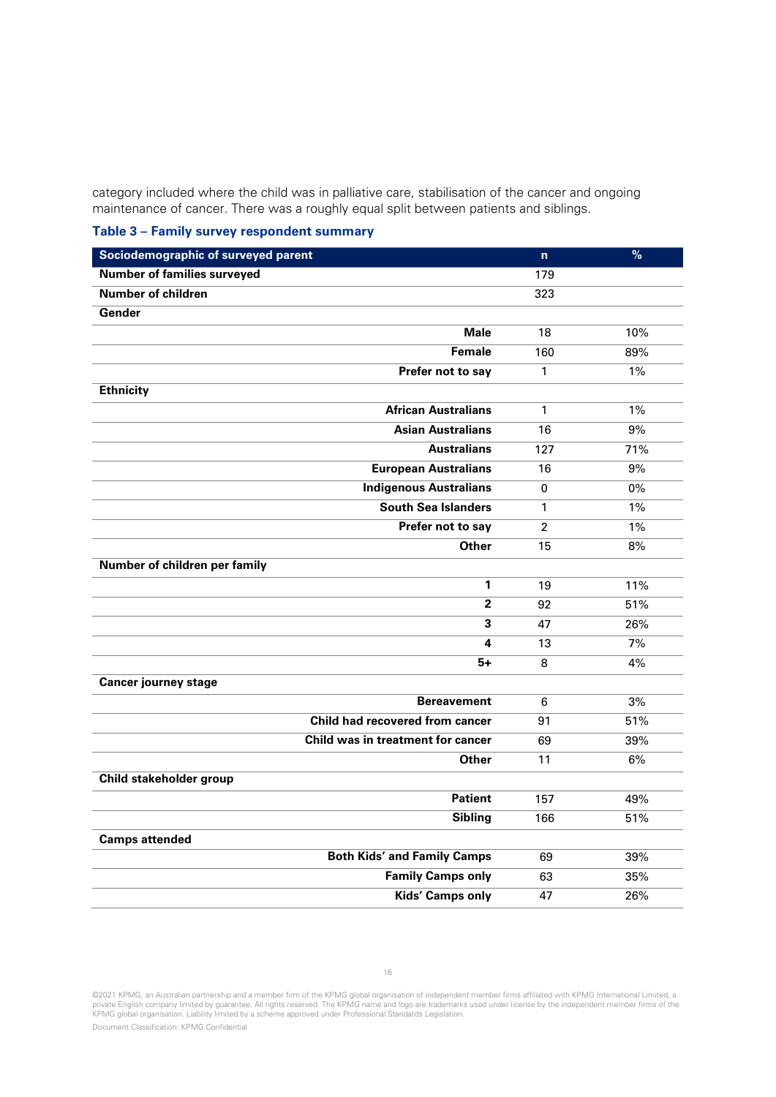category included where the child was in palliative care, stabilisation of the cancer and ongoing maintenance of cancer. There was a roughly equal split between patients and siblings.

**Table 3 – Family survey respondent summary**

| Sociodemographic of surveyed parent | 'n.            | $\overline{\frac{9}{6}}$ |
|-------------------------------------|----------------|--------------------------|
| <b>Number of families surveyed</b>  | 179            |                          |
| <b>Number of children</b>           | 323            |                          |
| Gender                              |                |                          |
| <b>Male</b>                         | 18             | 10%                      |
| <b>Female</b>                       | 160            | 89%                      |
| Prefer not to say                   | 1              | $1\%$                    |
| <b>Ethnicity</b>                    |                |                          |
| <b>African Australians</b>          | $\mathbf{1}$   | $1\%$                    |
| <b>Asian Australians</b>            | 16             | 9%                       |
| <b>Australians</b>                  | 127            | 71%                      |
| <b>European Australians</b>         | 16             | 9%                       |
| <b>Indigenous Australians</b>       | $\Omega$       | $0\%$                    |
| <b>South Sea Islanders</b>          | $\mathbf{1}$   | 1%                       |
| Prefer not to say                   | $\overline{2}$ | 1%                       |
| <b>Other</b>                        | 15             | 8%                       |
| Number of children per family       |                |                          |
| 1                                   | 19             | 11%                      |
| $\overline{2}$                      | 92             | 51%                      |
| 3                                   | 47             | 26%                      |
| 4                                   | 13             | 7%                       |
| 5+                                  | 8              | 4%                       |
| <b>Cancer journey stage</b>         |                |                          |
| <b>Bereavement</b>                  | 6              | 3%                       |
| Child had recovered from cancer     | 91             | 51%                      |
| Child was in treatment for cancer   | 69             | 39%                      |
| <b>Other</b>                        | 11             | 6%                       |
| Child stakeholder group             |                |                          |
| <b>Patient</b>                      | 157            | 49%                      |
| <b>Sibling</b>                      | 166            | 51%                      |
| <b>Camps attended</b>               |                |                          |
| <b>Both Kids' and Family Camps</b>  | 69             | 39%                      |
| <b>Family Camps only</b>            | 63             | 35%                      |
| <b>Kids' Camps only</b>             | 47             | 26%                      |
|                                     |                |                          |

©2021 KPMG, an Australian partnership and a member firm of the KPMG global organisation of independent member firms affiliated with KPMG International Limited, a<br>private English company limited by guarantee. All rights res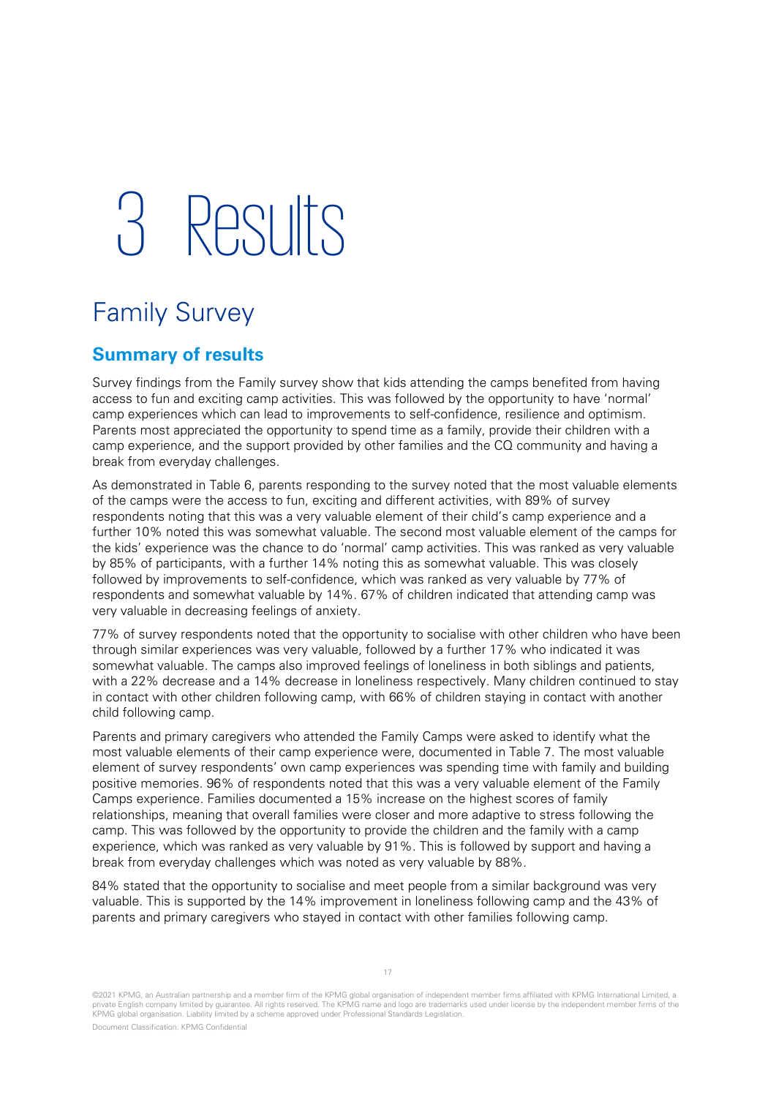## 3 Results

## Family Survey

## **Summary of results**

Survey findings from the Family survey show that kids attending the camps benefited from having access to fun and exciting camp activities. This was followed by the opportunity to have 'normal' camp experiences which can lead to improvements to self-confidence, resilience and optimism. Parents most appreciated the opportunity to spend time as a family, provide their children with a camp experience, and the support provided by other families and the CQ community and having a break from everyday challenges.

As demonstrated in [Table 6](#page-17-0), parents responding to the survey noted that the most valuable elements of the camps were the access to fun, exciting and different activities, with 89% of survey respondents noting that this was a very valuable element of their child's camp experience and a further 10% noted this was somewhat valuable. The second most valuable element of the camps for the kids' experience was the chance to do 'normal' camp activities. This was ranked as very valuable by 85% of participants, with a further 14% noting this as somewhat valuable. This was closely followed by improvements to self-confidence, which was ranked as very valuable by 77% of respondents and somewhat valuable by 14%. 67% of children indicated that attending camp was very valuable in decreasing feelings of anxiety.

77% of survey respondents noted that the opportunity to socialise with other children who have been through similar experiences was very valuable, followed by a further 17% who indicated it was somewhat valuable. The camps also improved feelings of loneliness in both siblings and patients, with a 22% decrease and a 14% decrease in loneliness respectively. Many children continued to stay in contact with other children following camp, with 66% of children staying in contact with another child following camp.

Parents and primary caregivers who attended the Family Camps were asked to identify what the most valuable elements of their camp experience were, documented in [Table 7](#page-18-0). The most valuable element of survey respondents' own camp experiences was spending time with family and building positive memories. 96% of respondents noted that this was a very valuable element of the Family Camps experience. Families documented a 15% increase on the highest scores of family relationships, meaning that overall families were closer and more adaptive to stress following the camp. This was followed by the opportunity to provide the children and the family with a camp experience, which was ranked as very valuable by 91%. This is followed by support and having a break from everyday challenges which was noted as very valuable by 88%.

84% stated that the opportunity to socialise and meet people from a similar background was very valuable. This is supported by the 14% improvement in loneliness following camp and the 43% of parents and primary caregivers who stayed in contact with other families following camp.

©2021 KPMG, an Australian partnership and a member firm of the KPMG global organisation of independent member firms affiliated with KPMG International Limited, a private English company limited by guarantee. All rights reserved. The KPMG name and logo are trademarks used under license by the independent member firms of the KPMG global organisation. Liability limited by a scheme approved under Professional Standards Legislation.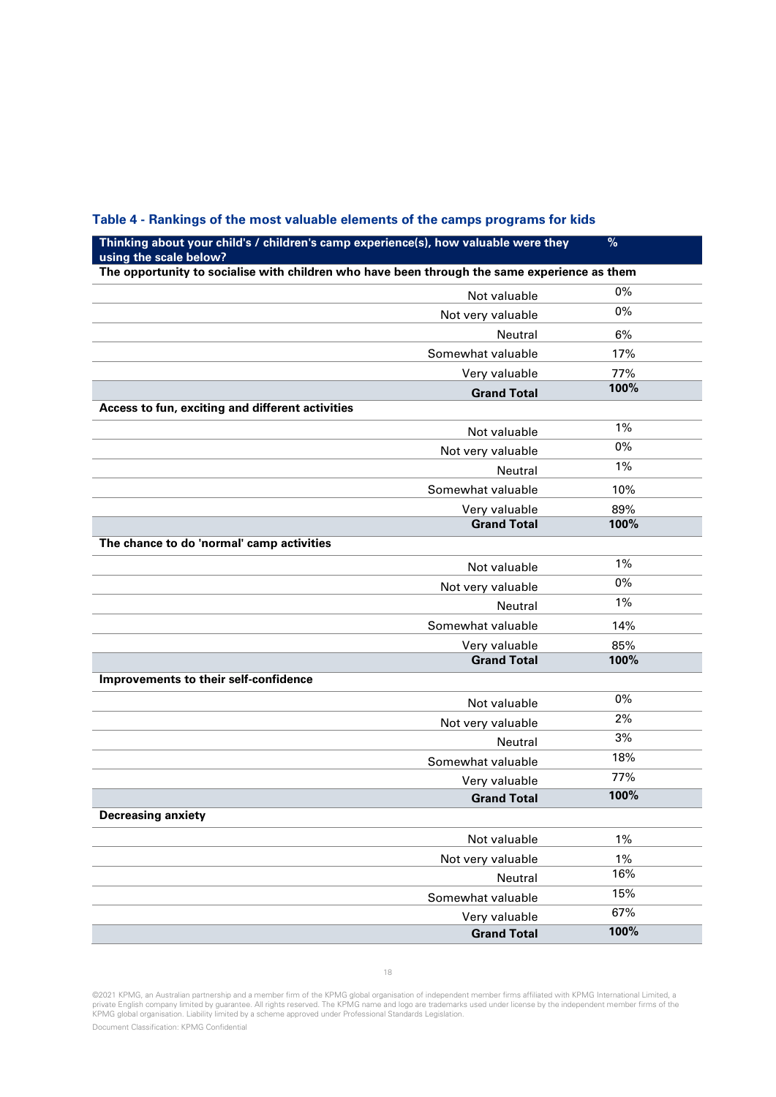| Thinking about your child's / children's camp experience(s), how valuable were they                                    | $\%$  |
|------------------------------------------------------------------------------------------------------------------------|-------|
| using the scale below?<br>The opportunity to socialise with children who have been through the same experience as them |       |
| Not valuable                                                                                                           | $0\%$ |
| Not very valuable                                                                                                      | 0%    |
| Neutral                                                                                                                | 6%    |
| Somewhat valuable                                                                                                      | 17%   |
| Very valuable                                                                                                          | 77%   |
| <b>Grand Total</b>                                                                                                     | 100%  |
| Access to fun, exciting and different activities                                                                       |       |
| Not valuable                                                                                                           | 1%    |
| Not very valuable                                                                                                      | 0%    |
| Neutral                                                                                                                | 1%    |
| Somewhat valuable                                                                                                      | 10%   |
| Very valuable                                                                                                          | 89%   |
| <b>Grand Total</b>                                                                                                     | 100%  |
| The chance to do 'normal' camp activities                                                                              |       |
| Not valuable                                                                                                           | 1%    |
| Not very valuable                                                                                                      | 0%    |
| Neutral                                                                                                                | 1%    |
| Somewhat valuable                                                                                                      | 14%   |
| Very valuable                                                                                                          | 85%   |
| <b>Grand Total</b>                                                                                                     | 100%  |
| Improvements to their self-confidence                                                                                  |       |
| Not valuable                                                                                                           | 0%    |
| Not very valuable                                                                                                      | 2%    |
| Neutral                                                                                                                | 3%    |
| Somewhat valuable                                                                                                      | 18%   |
| Very valuable                                                                                                          | 77%   |
| <b>Grand Total</b>                                                                                                     | 100%  |
| <b>Decreasing anxiety</b>                                                                                              |       |
| Not valuable                                                                                                           | 1%    |
| Not very valuable                                                                                                      | 1%    |
| Neutral                                                                                                                | 16%   |
| Somewhat valuable                                                                                                      | 15%   |
| Very valuable                                                                                                          | 67%   |
| <b>Grand Total</b>                                                                                                     | 100%  |

### <span id="page-17-0"></span>**Table 4 - Rankings of the most valuable elements of the camps programs for kids**

©2021 KPMG, an Australian partnership and a member firm of the KPMG global organisation of independent member firms affiliated with KPMG International Limited, a<br>private English company limited by guarantee. All rights res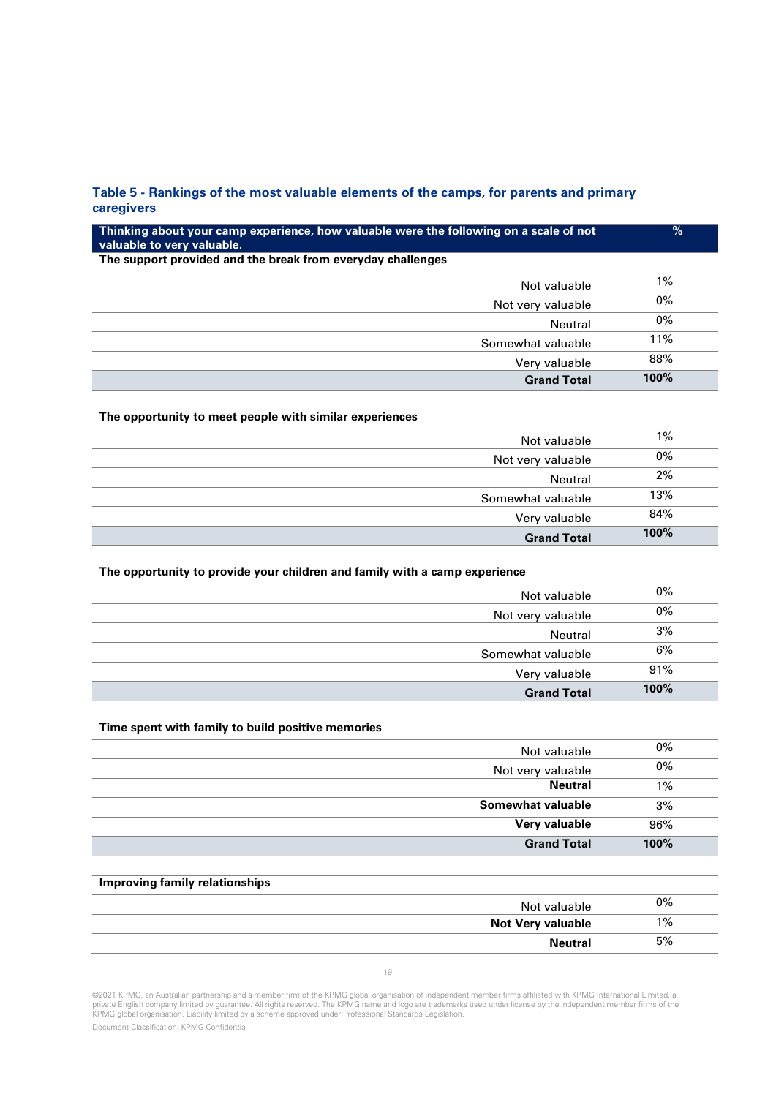### <span id="page-18-0"></span>**Table 5 - Rankings of the most valuable elements of the camps, for parents and primary caregivers**

| Thinking about your camp experience, how valuable were the following on a scale of not<br>valuable to very valuable. | %     |
|----------------------------------------------------------------------------------------------------------------------|-------|
| The support provided and the break from everyday challenges                                                          |       |
| Not valuable                                                                                                         | 1%    |
| Not very valuable                                                                                                    | $0\%$ |
| Neutral                                                                                                              | $0\%$ |
| Somewhat valuable                                                                                                    | 11%   |
| Very valuable                                                                                                        | 88%   |
| <b>Grand Total</b>                                                                                                   | 100%  |
|                                                                                                                      |       |
| The opportunity to meet people with similar experiences                                                              |       |
| Not valuable                                                                                                         | $1\%$ |
| Not very valuable                                                                                                    | $0\%$ |
| <b>Neutral</b>                                                                                                       | 2%    |
| Somewhat valuable                                                                                                    | 13%   |
| Very valuable                                                                                                        | 84%   |
| <b>Grand Total</b>                                                                                                   | 100%  |
|                                                                                                                      |       |
| The opportunity to provide your children and family with a camp experience                                           |       |
| Not valuable                                                                                                         | $0\%$ |
| Not very valuable                                                                                                    | $0\%$ |
| Neutral                                                                                                              | $3%$  |
| Somewhat valuable                                                                                                    | 6%    |
| Very valuable                                                                                                        | 91%   |
| <b>Grand Total</b>                                                                                                   | 100%  |
|                                                                                                                      |       |
| Time spent with family to build positive memories                                                                    |       |
| Not valuable                                                                                                         | $0\%$ |
| Not very valuable                                                                                                    | $0\%$ |
| <b>Neutral</b>                                                                                                       | $1\%$ |
| Somewhat valuable<br><b>Very valuable</b>                                                                            | 3%    |
|                                                                                                                      | 96%   |
| <b>Grand Total</b>                                                                                                   | 100%  |
| <b>Improving family relationships</b>                                                                                |       |
|                                                                                                                      | $0\%$ |
| Not valuable<br><b>Not Very valuable</b>                                                                             | $1\%$ |
|                                                                                                                      |       |

©2021 KPMG, an Australian partnership and a member firm of the KPMG global organisation of independent member firms affiliated with KPMG International Limited, a<br>private English company limited by guarantee. All rights res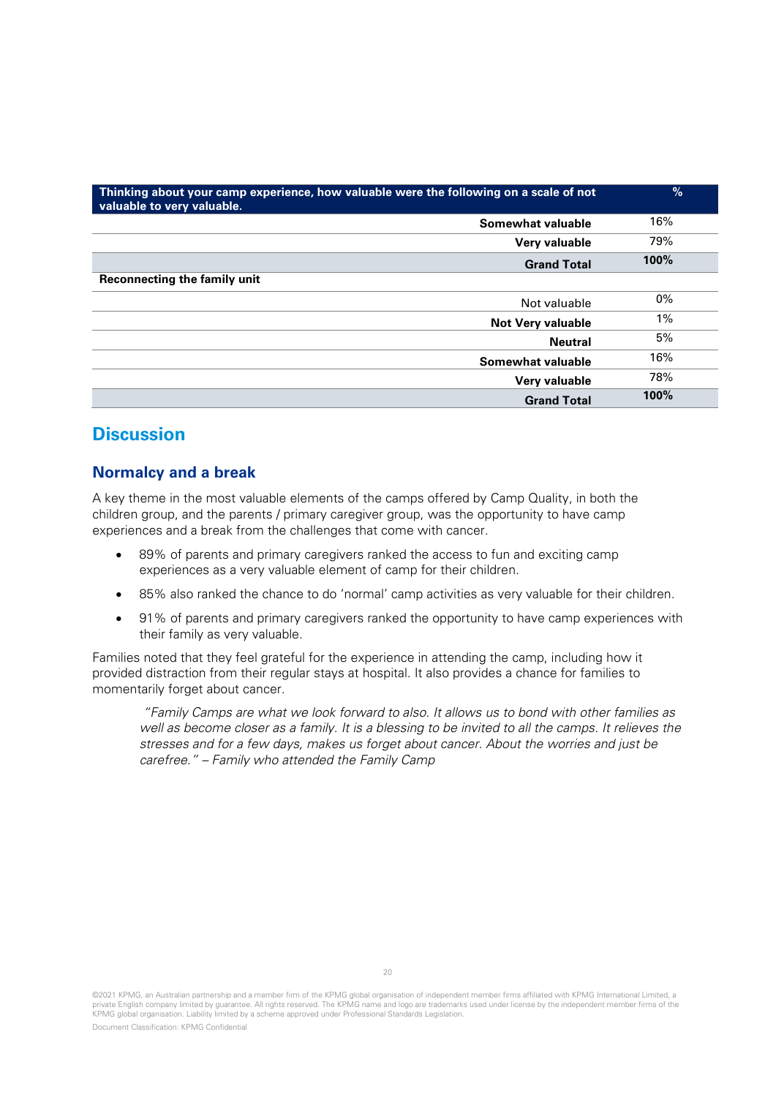| Thinking about your camp experience, how valuable were the following on a scale of not<br>valuable to very valuable. | %     |
|----------------------------------------------------------------------------------------------------------------------|-------|
| Somewhat valuable                                                                                                    | 16%   |
| Very valuable                                                                                                        | 79%   |
| <b>Grand Total</b>                                                                                                   | 100%  |
| Reconnecting the family unit                                                                                         |       |
| Not valuable                                                                                                         | $0\%$ |
| <b>Not Very valuable</b>                                                                                             | 1%    |
| <b>Neutral</b>                                                                                                       | 5%    |
| Somewhat valuable                                                                                                    | 16%   |
| Very valuable                                                                                                        | 78%   |
| <b>Grand Total</b>                                                                                                   | 100%  |

## **Discussion**

## **Normalcy and a break**

A key theme in the most valuable elements of the camps offered by Camp Quality, in both the children group, and the parents / primary caregiver group, was the opportunity to have camp experiences and a break from the challenges that come with cancer.

- 89% of parents and primary caregivers ranked the access to fun and exciting camp experiences as a very valuable element of camp for their children.
- 85% also ranked the chance to do 'normal' camp activities as very valuable for their children.
- 91% of parents and primary caregivers ranked the opportunity to have camp experiences with their family as very valuable.

Families noted that they feel grateful for the experience in attending the camp, including how it provided distraction from their regular stays at hospital. It also provides a chance for families to momentarily forget about cancer.

"Family Camps are what we look forward to also. It allows us to bond with other families as well as become closer as a family. It is a blessing to be invited to all the camps. It relieves the stresses and for a few days, makes us forget about cancer. About the worries and just be carefree." – Family who attended the Family Camp

©2021 KPMG, an Australian partnership and a member firm of the KPMG global organisation of independent member firms affiliated with KPMG International Limited, a private English company limited by guarantee. All rights reserved. The KPMG name and logo are trademarks used under license by the independent member firms of the KPMG global organisation. Liability limited by a scheme approved under Professional Standards Legislation.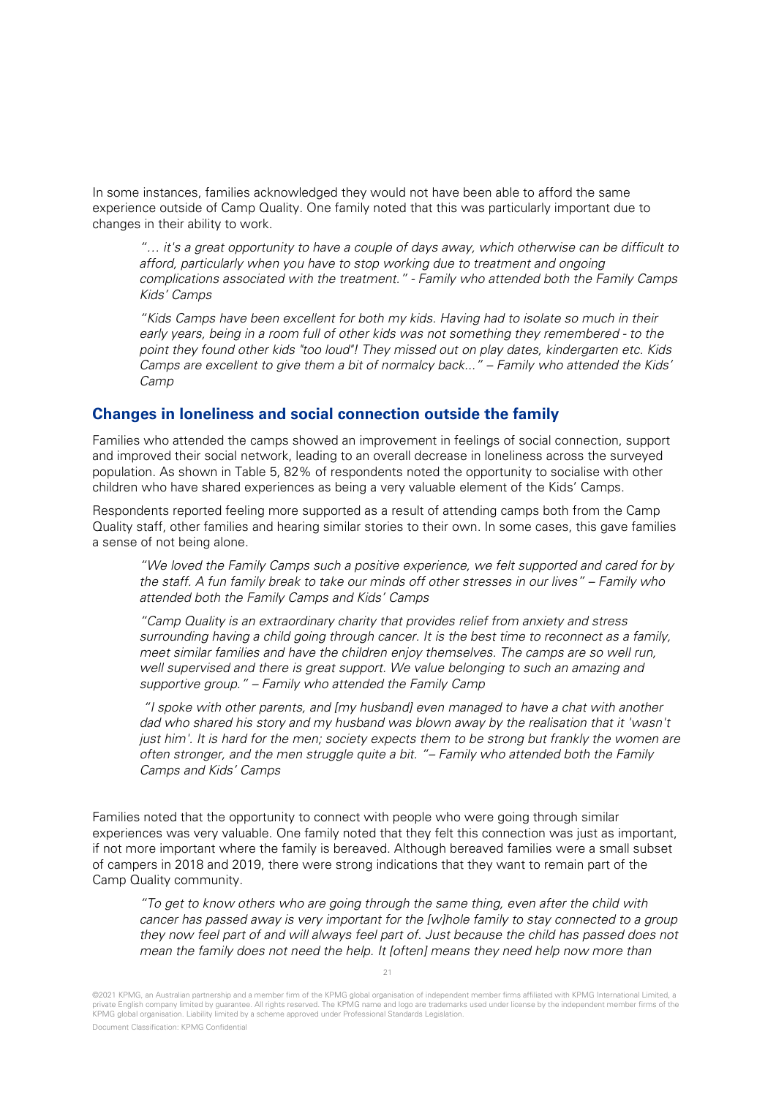In some instances, families acknowledged they would not have been able to afford the same experience outside of Camp Quality. One family noted that this was particularly important due to changes in their ability to work.

"… it's a great opportunity to have a couple of days away, which otherwise can be difficult to afford, particularly when you have to stop working due to treatment and ongoing complications associated with the treatment." - Family who attended both the Family Camps Kids' Camps

"Kids Camps have been excellent for both my kids. Having had to isolate so much in their early years, being in a room full of other kids was not something they remembered - to the point they found other kids "too loud"! They missed out on play dates, kindergarten etc. Kids Camps are excellent to give them a bit of normalcy back..." – Family who attended the Kids' Camp

### **Changes in loneliness and social connection outside the family**

Families who attended the camps showed an improvement in feelings of social connection, support and improved their social network, leading to an overall decrease in loneliness across the surveyed population. As shown in [Table 5,](#page-17-0) 82% of respondents noted the opportunity to socialise with other children who have shared experiences as being a very valuable element of the Kids' Camps.

Respondents reported feeling more supported as a result of attending camps both from the Camp Quality staff, other families and hearing similar stories to their own. In some cases, this gave families a sense of not being alone.

"We loved the Family Camps such a positive experience, we felt supported and cared for by the staff. A fun family break to take our minds off other stresses in our lives" – Family who attended both the Family Camps and Kids' Camps

"Camp Quality is an extraordinary charity that provides relief from anxiety and stress surrounding having a child going through cancer. It is the best time to reconnect as a family, meet similar families and have the children enjoy themselves. The camps are so well run, well supervised and there is great support. We value belonging to such an amazing and supportive group." – Family who attended the Family Camp

"I spoke with other parents, and [my husband] even managed to have a chat with another dad who shared his story and my husband was blown away by the realisation that it 'wasn't just him'. It is hard for the men; society expects them to be strong but frankly the women are often stronger, and the men struggle quite a bit. "– Family who attended both the Family Camps and Kids' Camps

Families noted that the opportunity to connect with people who were going through similar experiences was very valuable. One family noted that they felt this connection was just as important, if not more important where the family is bereaved. Although bereaved families were a small subset of campers in 2018 and 2019, there were strong indications that they want to remain part of the Camp Quality community.

"To get to know others who are going through the same thing, even after the child with cancer has passed away is very important for the [w]hole family to stay connected to a group they now feel part of and will always feel part of. Just because the child has passed does not mean the family does not need the help. It [often] means they need help now more than

<sup>©2021</sup> KPMG, an Australian partnership and a member firm of the KPMG global organisation of independent member firms affiliated with KPMG International Limited, a private English company limited by guarantee. All rights reserved. The KPMG name and logo are trademarks used under license by the independent member firms of the KPMG global organisation. Liability limited by a scheme approved under Professional Standards Legislation.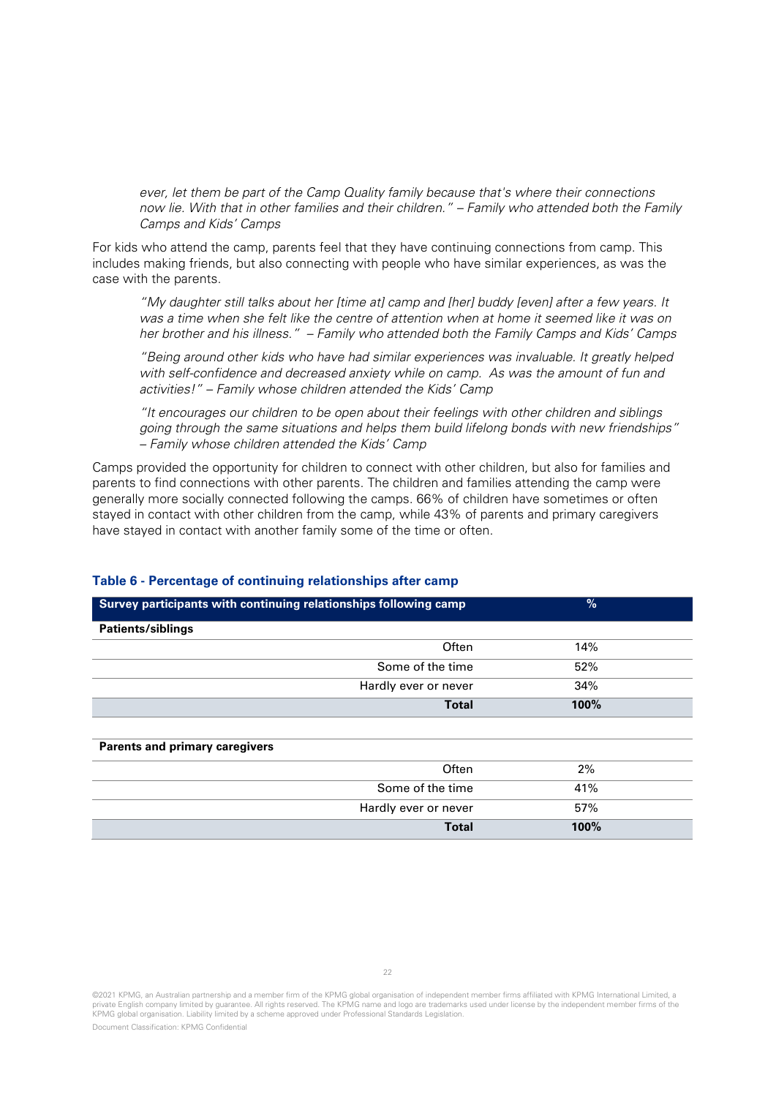ever, let them be part of the Camp Quality family because that's where their connections now lie. With that in other families and their children." – Family who attended both the Family Camps and Kids' Camps

For kids who attend the camp, parents feel that they have continuing connections from camp. This includes making friends, but also connecting with people who have similar experiences, as was the case with the parents.

"My daughter still talks about her [time at] camp and [her] buddy [even] after a few years. It was a time when she felt like the centre of attention when at home it seemed like it was on her brother and his illness." – Family who attended both the Family Camps and Kids' Camps

"Being around other kids who have had similar experiences was invaluable. It greatly helped with self-confidence and decreased anxiety while on camp. As was the amount of fun and activities!" – Family whose children attended the Kids' Camp

"It encourages our children to be open about their feelings with other children and siblings going through the same situations and helps them build lifelong bonds with new friendships" – Family whose children attended the Kids' Camp

Camps provided the opportunity for children to connect with other children, but also for families and parents to find connections with other parents. The children and families attending the camp were generally more socially connected following the camps. 66% of children have sometimes or often stayed in contact with other children from the camp, while 43% of parents and primary caregivers have stayed in contact with another family some of the time or often.

| Survey participants with continuing relationships following camp | %    |
|------------------------------------------------------------------|------|
| Patients/siblings                                                |      |
| Often                                                            | 14%  |
| Some of the time                                                 | 52%  |
| Hardly ever or never                                             | 34%  |
| <b>Total</b>                                                     | 100% |
|                                                                  |      |
| <b>Parents and primary caregivers</b>                            |      |
| Often                                                            | 2%   |
| Some of the time                                                 | 41%  |
| Hardly ever or never                                             | 57%  |
| <b>Total</b>                                                     | 100% |

#### **Table 6 - Percentage of continuing relationships after camp**

<sup>©2021</sup> KPMG, an Australian partnership and a member firm of the KPMG global organisation of independent member firms affiliated with KPMG International Limited, a private English company limited by guarantee. All rights reserved. The KPMG name and logo are trademarks used under license by the independent member firms of the KPMG global organisation. Liability limited by a scheme approved under Professional Standards Legislation.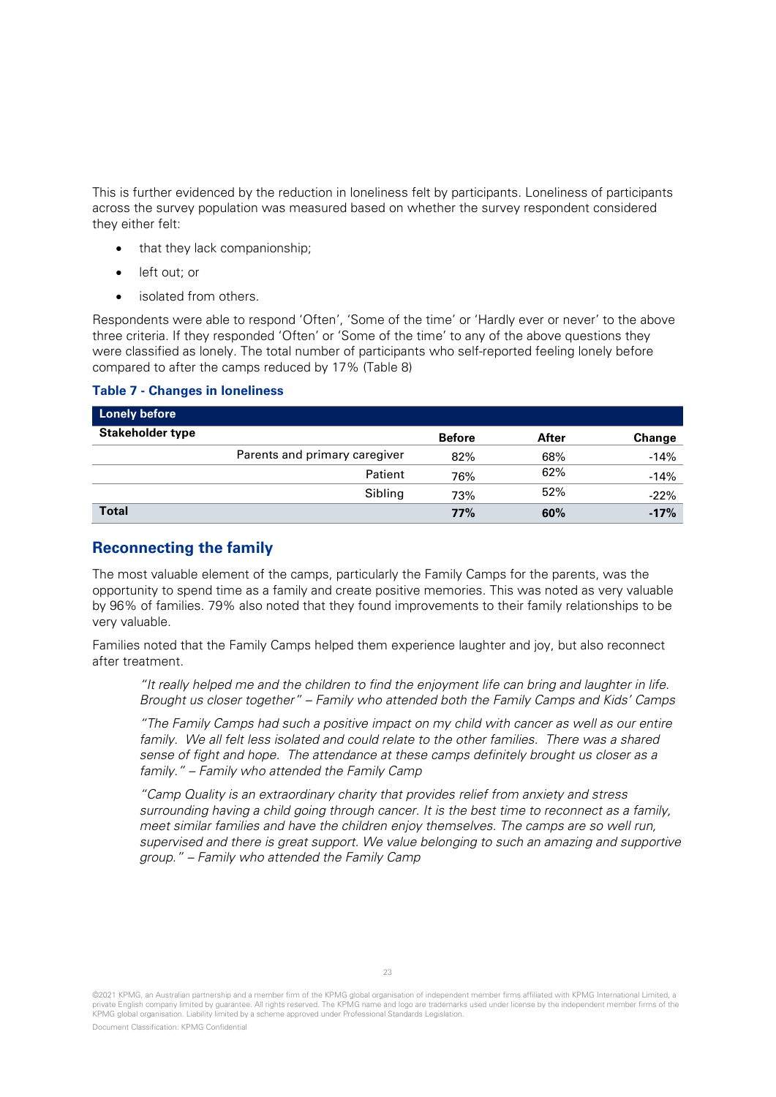This is further evidenced by the reduction in loneliness felt by participants. Loneliness of participants across the survey population was measured based on whether the survey respondent considered they either felt:

- that they lack companionship;
- left out; or
- isolated from others.

Respondents were able to respond 'Often', 'Some of the time' or 'Hardly ever or never' to the above three criteria. If they responded 'Often' or 'Some of the time' to any of the above questions they were classified as lonely. The total number of participants who self-reported feeling lonely before compared to after the camps reduced by 17% [\(Table 8\)](#page-22-0)

#### <span id="page-22-0"></span>**Table 7 - Changes in loneliness**

| <b>Lonely before</b>    |                               |               |       |        |
|-------------------------|-------------------------------|---------------|-------|--------|
| <b>Stakeholder type</b> |                               | <b>Before</b> | After | Change |
|                         | Parents and primary caregiver | 82%           | 68%   | $-14%$ |
|                         | Patient                       | 76%           | 62%   | $-14%$ |
|                         | Sibling                       | 73%           | 52%   | $-22%$ |
| <b>Total</b>            |                               | 77%           | 60%   | $-17%$ |

## **Reconnecting the family**

The most valuable element of the camps, particularly the Family Camps for the parents, was the opportunity to spend time as a family and create positive memories. This was noted as very valuable by 96% of families. 79% also noted that they found improvements to their family relationships to be very valuable.

Families noted that the Family Camps helped them experience laughter and joy, but also reconnect after treatment.

"It really helped me and the children to find the enjoyment life can bring and laughter in life. Brought us closer together" – Family who attended both the Family Camps and Kids' Camps

"The Family Camps had such a positive impact on my child with cancer as well as our entire family. We all felt less isolated and could relate to the other families. There was a shared sense of fight and hope. The attendance at these camps definitely brought us closer as a family." – Family who attended the Family Camp

"Camp Quality is an extraordinary charity that provides relief from anxiety and stress surrounding having a child going through cancer. It is the best time to reconnect as a family, meet similar families and have the children enjoy themselves. The camps are so well run, supervised and there is great support. We value belonging to such an amazing and supportive group." – Family who attended the Family Camp

<sup>©2021</sup> KPMG, an Australian partnership and a member firm of the KPMG global organisation of independent member firms affiliated with KPMG International Limited, a private English company limited by guarantee. All rights reserved. The KPMG name and logo are trademarks used under license by the independent member firms of the KPMG global organisation. Liability limited by a scheme approved under Professional Standards Legislation.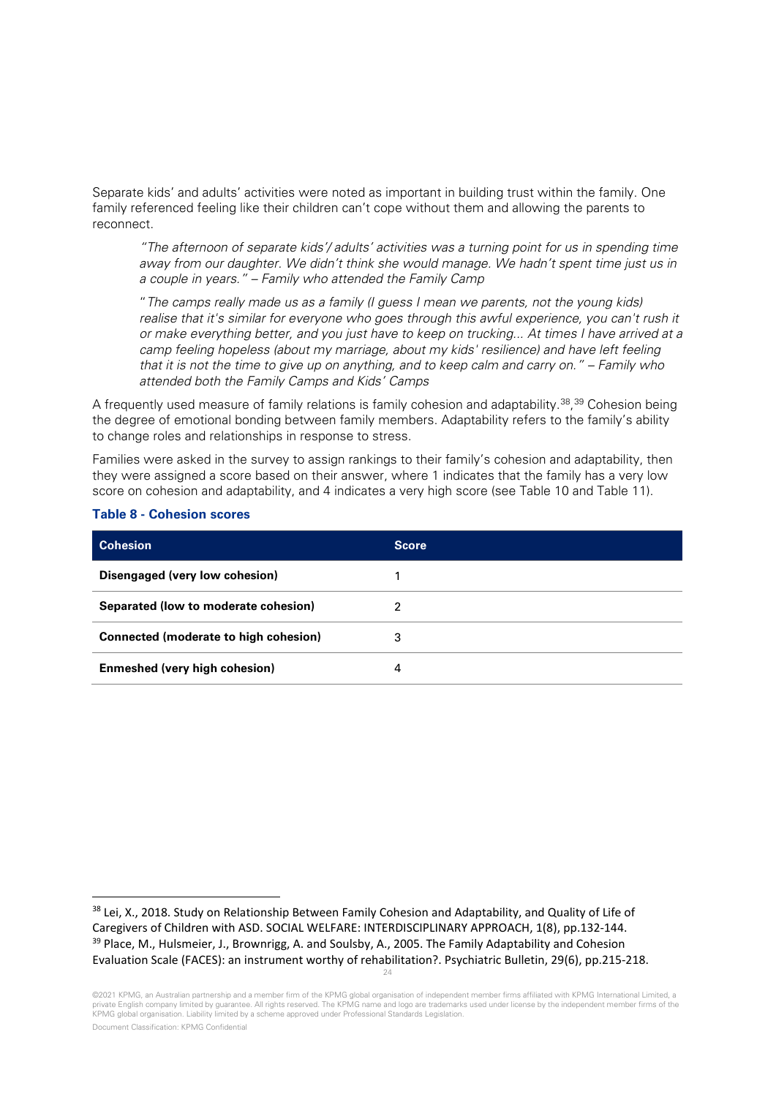Separate kids' and adults' activities were noted as important in building trust within the family. One family referenced feeling like their children can't cope without them and allowing the parents to reconnect.

"The afternoon of separate kids'/ adults' activities was a turning point for us in spending time away from our daughter. We didn't think she would manage. We hadn't spent time just us in a couple in years." – Family who attended the Family Camp

"The camps really made us as a family (I guess I mean we parents, not the young kids) realise that it's similar for everyone who goes through this awful experience, you can't rush it or make everything better, and you just have to keep on trucking... At times I have arrived at a camp feeling hopeless (about my marriage, about my kids' resilience) and have left feeling that it is not the time to give up on anything, and to keep calm and carry on." – Family who attended both the Family Camps and Kids' Camps

A frequently used measure of family relations is family cohesion and adaptability.<sup>38</sup>,<sup>[39](#page-23-2)</sup> Cohesion being the degree of emotional bonding between family members. Adaptability refers to the family's ability to change roles and relationships in response to stress.

Families were asked in the survey to assign rankings to their family's cohesion and adaptability, then they were assigned a score based on their answer, where 1 indicates that the family has a very low score on cohesion and adaptability, and 4 indicates a very high score (see [Table 10](#page-23-0) and [Table 11\)](#page-24-0).

| <b>Cohesion</b>                       | <b>Score</b> |
|---------------------------------------|--------------|
| Disengaged (very low cohesion)        |              |
| Separated (low to moderate cohesion)  | 2            |
| Connected (moderate to high cohesion) | 3            |
| Enmeshed (very high cohesion)         | 4            |

#### <span id="page-23-0"></span>**Table 8 - Cohesion scores**

<span id="page-23-2"></span><span id="page-23-1"></span><sup>24</sup> <sup>38</sup> Lei, X., 2018. Study on Relationship Between Family Cohesion and Adaptability, and Quality of Life of Caregivers of Children with ASD. SOCIAL WELFARE: INTERDISCIPLINARY APPROACH, 1(8), pp.132-144. <sup>39</sup> Place, M., Hulsmeier, J., Brownrigg, A. and Soulsby, A., 2005. The Family Adaptability and Cohesion Evaluation Scale (FACES): an instrument worthy of rehabilitation?. Psychiatric Bulletin, 29(6), pp.215-218.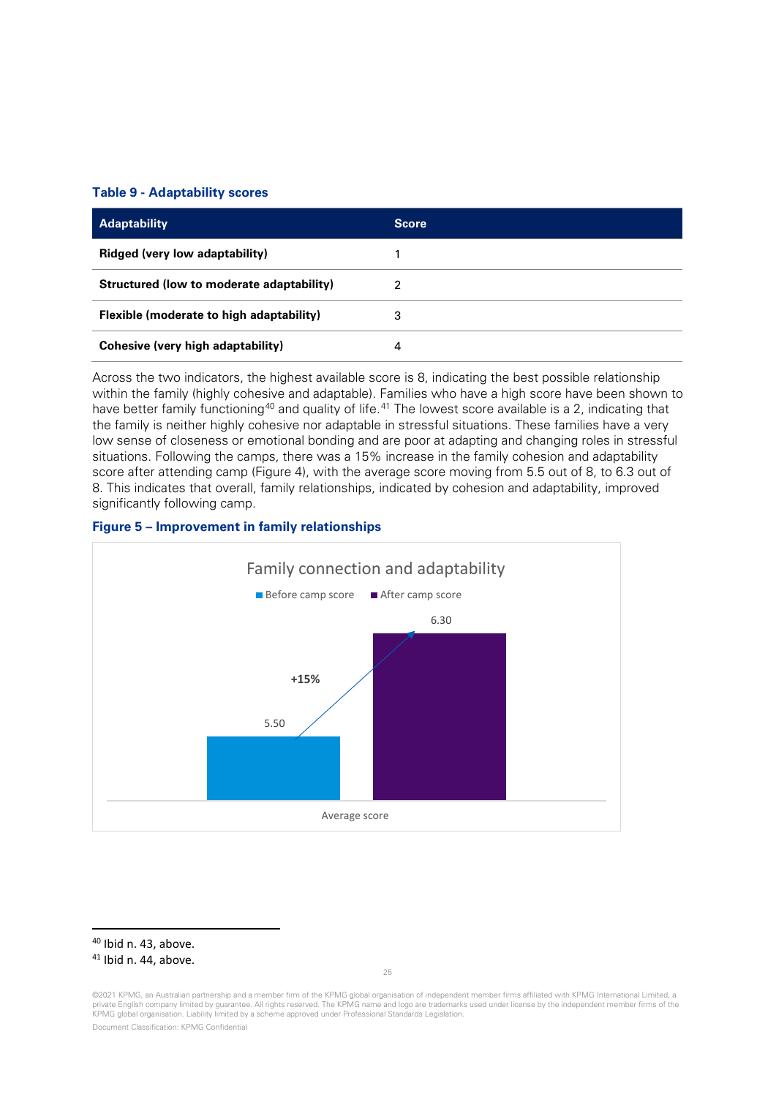#### <span id="page-24-0"></span>**Table 9 - Adaptability scores**

| <b>Adaptability</b>                       | <b>Score</b> |
|-------------------------------------------|--------------|
| Ridged (very low adaptability)            |              |
| Structured (low to moderate adaptability) | 2            |
| Flexible (moderate to high adaptability)  | 3            |
| Cohesive (very high adaptability)         | 4            |

Across the two indicators, the highest available score is 8, indicating the best possible relationship within the family (highly cohesive and adaptable). Families who have a high score have been shown to have better family functioning<sup>[40](#page-24-1)</sup> and quality of life.<sup>[41](#page-24-2)</sup> The lowest score available is a 2, indicating that the family is neither highly cohesive nor adaptable in stressful situations. These families have a very low sense of closeness or emotional bonding and are poor at adapting and changing roles in stressful situations. Following the camps, there was a 15% increase in the family cohesion and adaptability score after attending camp [\(Figure 4\)](#page-7-0), with the average score moving from 5.5 out of 8, to 6.3 out of 8. This indicates that overall, family relationships, indicated by cohesion and adaptability, improved significantly following camp.





<span id="page-24-1"></span><sup>40</sup> Ibid n. 43, above.

<span id="page-24-2"></span><sup>&</sup>lt;sup>41</sup> Ibid n. 44, above.

<sup>©2021</sup> KPMG, an Australian partnership and a member firm of the KPMG global organisation of independent member firms affiliated with KPMG International Limited, a private English company limited by guarantee. All rights reserved. The KPMG name and logo are trademarks used under license by the independent member firms of the KPMG global organisation. Liability limited by a scheme approved under Professional Standards Legislation.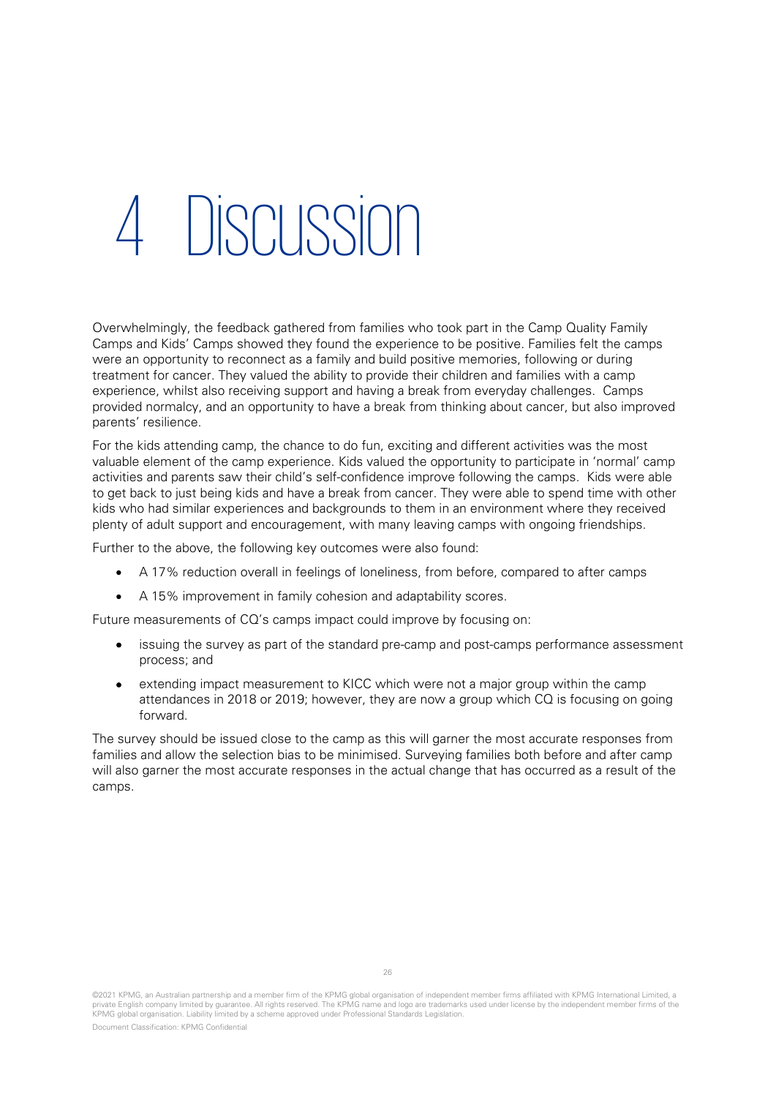## 4 Discussion

Overwhelmingly, the feedback gathered from families who took part in the Camp Quality Family Camps and Kids' Camps showed they found the experience to be positive. Families felt the camps were an opportunity to reconnect as a family and build positive memories, following or during treatment for cancer. They valued the ability to provide their children and families with a camp experience, whilst also receiving support and having a break from everyday challenges. Camps provided normalcy, and an opportunity to have a break from thinking about cancer, but also improved parents' resilience.

For the kids attending camp, the chance to do fun, exciting and different activities was the most valuable element of the camp experience. Kids valued the opportunity to participate in 'normal' camp activities and parents saw their child's self-confidence improve following the camps. Kids were able to get back to just being kids and have a break from cancer. They were able to spend time with other kids who had similar experiences and backgrounds to them in an environment where they received plenty of adult support and encouragement, with many leaving camps with ongoing friendships.

Further to the above, the following key outcomes were also found:

- A 17% reduction overall in feelings of loneliness, from before, compared to after camps
- A 15% improvement in family cohesion and adaptability scores.

Future measurements of CQ's camps impact could improve by focusing on:

- issuing the survey as part of the standard pre-camp and post-camps performance assessment process; and
- extending impact measurement to KICC which were not a major group within the camp attendances in 2018 or 2019; however, they are now a group which CQ is focusing on going forward.

The survey should be issued close to the camp as this will garner the most accurate responses from families and allow the selection bias to be minimised. Surveying families both before and after camp will also garner the most accurate responses in the actual change that has occurred as a result of the camps.

©2021 KPMG, an Australian partnership and a member firm of the KPMG global organisation of independent member firms affiliated with KPMG International Limited, a private English company limited by guarantee. All rights reserved. The KPMG name and logo are trademarks used under license by the independent member firms of the KPMG global organisation. Liability limited by a scheme approved under Professional Standards Legislation.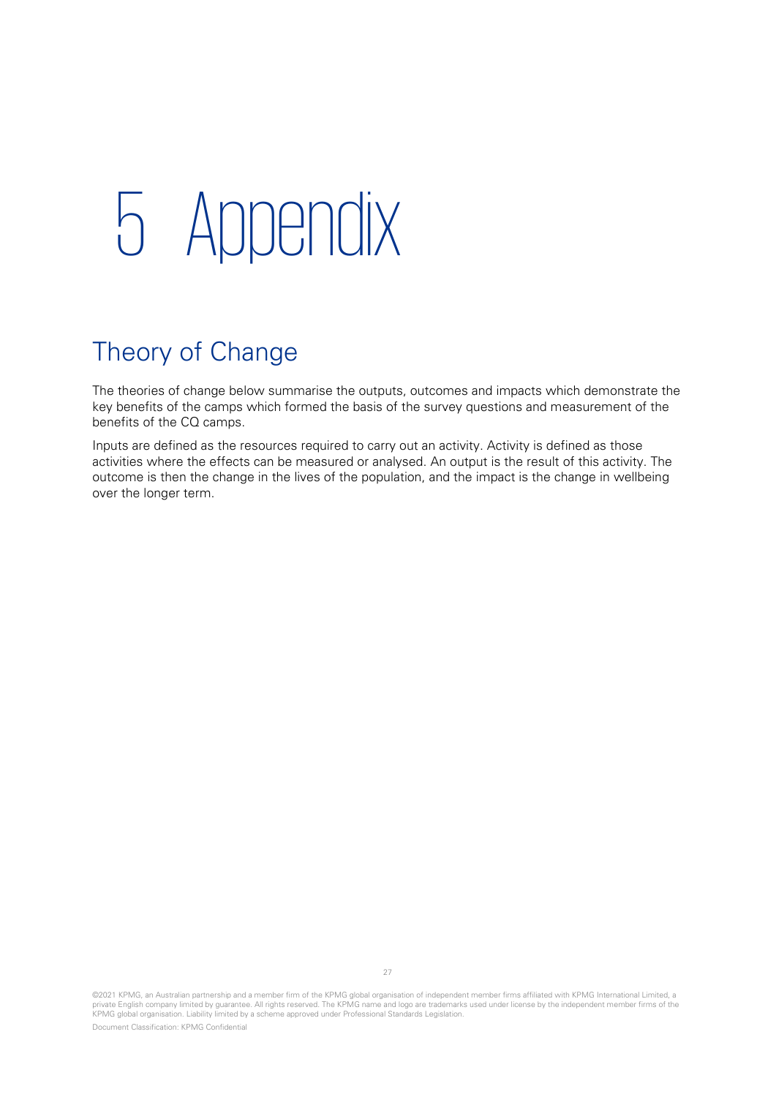## 5 Appendix

## Theory of Change

The theories of change below summarise the outputs, outcomes and impacts which demonstrate the key benefits of the camps which formed the basis of the survey questions and measurement of the benefits of the CQ camps.

Inputs are defined as the resources required to carry out an activity. Activity is defined as those activities where the effects can be measured or analysed. An output is the result of this activity. The outcome is then the change in the lives of the population, and the impact is the change in wellbeing over the longer term.

©2021 KPMG, an Australian partnership and a member firm of the KPMG global organisation of independent member firms affiliated with KPMG International Limited, a<br>private English company limited by guarantee. All rights res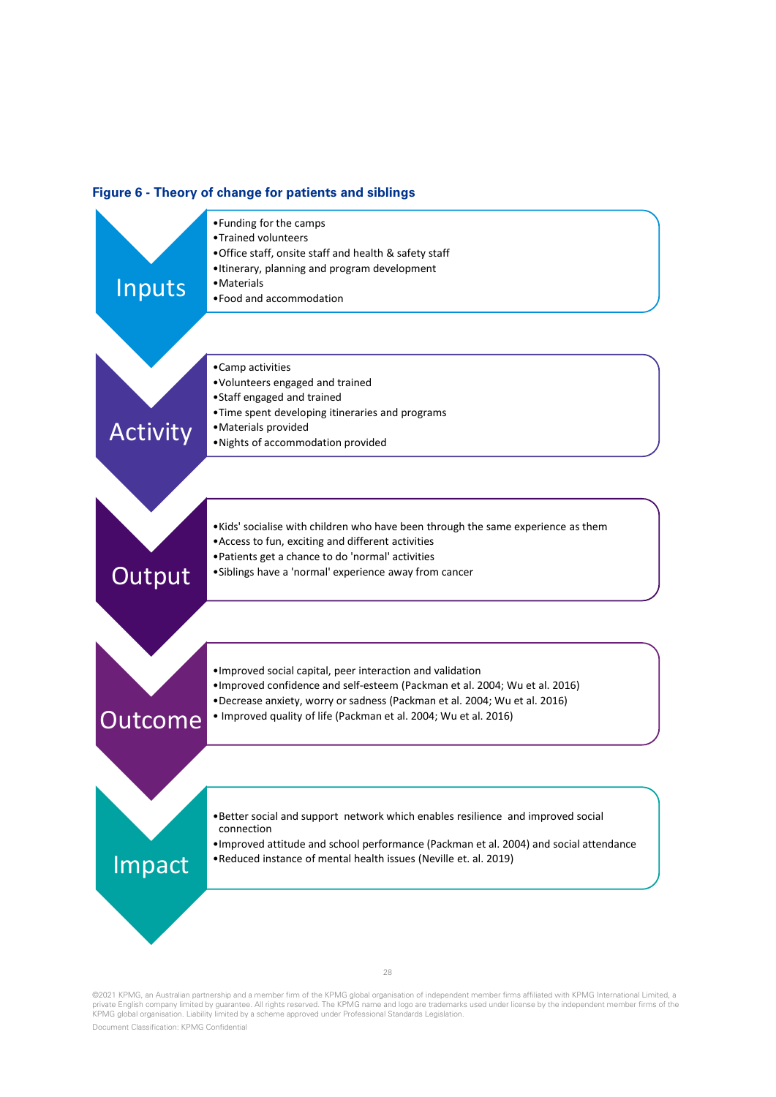#### **Figure 6 - Theory of change for patients and siblings**



©2021 KPMG, an Australian partnership and a member firm of the KPMG global organisation of independent member firms affiliated with KPMG International Limited, a<br>private English company limited by guarantee. All rights res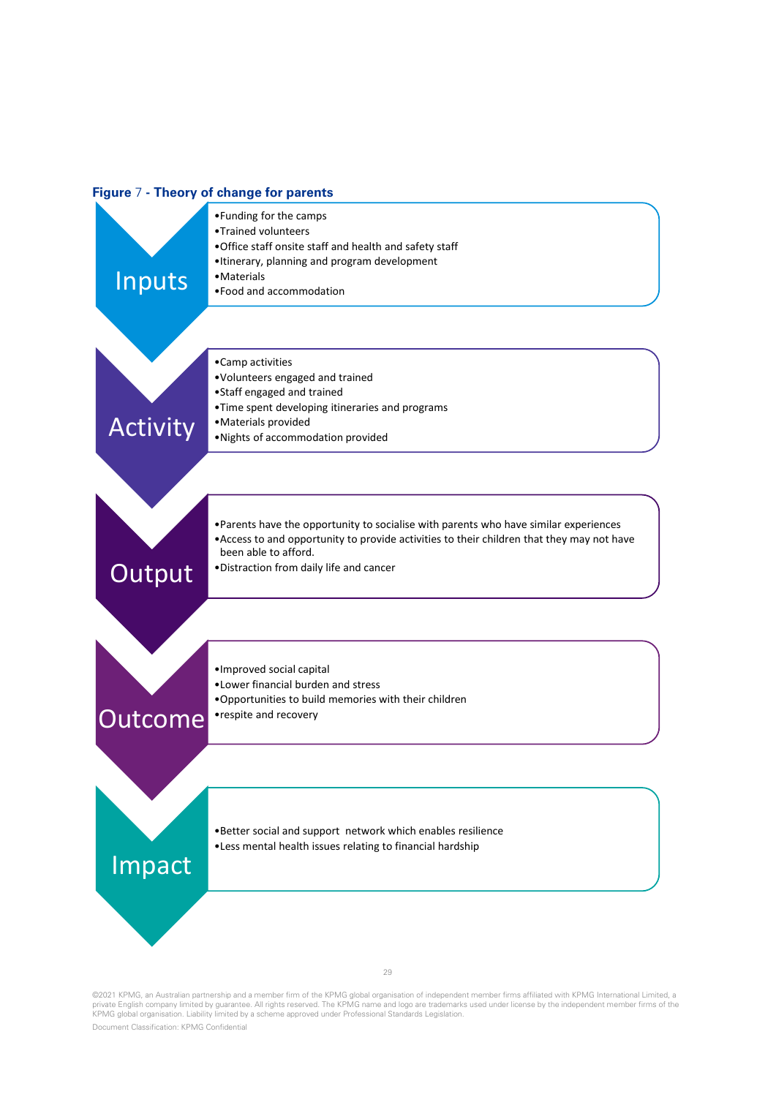#### **Figure** 7 **- Theory of change for parents**



©2021 KPMG, an Australian partnership and a member firm of the KPMG global organisation of independent member firms affiliated with KPMG International Limited, a<br>private English company limited by guarantee. All rights res